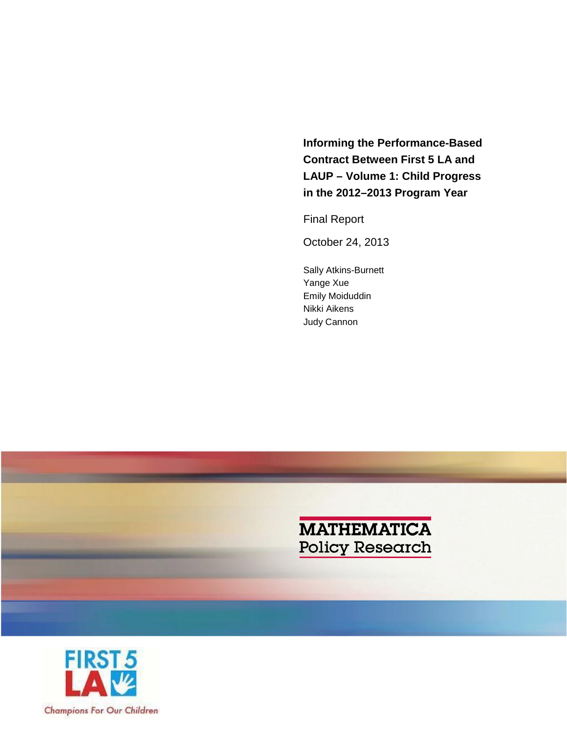**Informing the Performance-Based Contract Between First 5 LA and LAUP – Volume 1: Child Progress in the 2012–2013 Program Year**

Final Report

October 24, 2013

Sally Atkins-Burnett Yange Xue Emily Moiduddin Nikki Aikens Judy Cannon



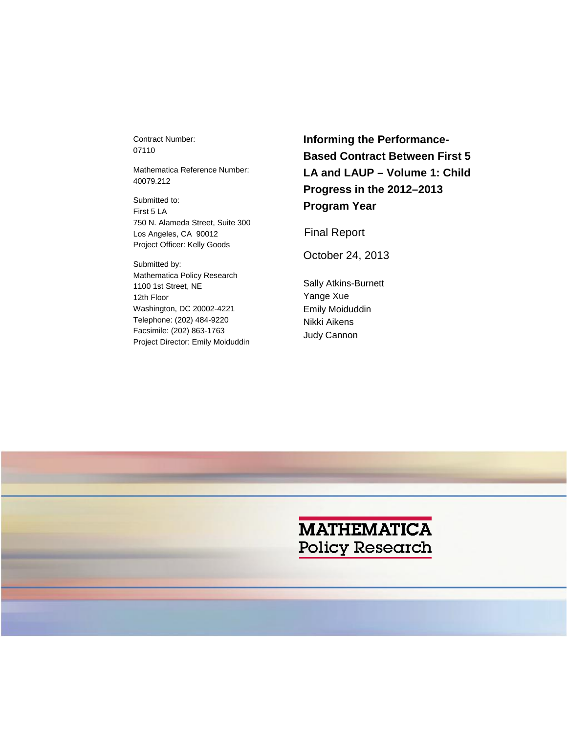Contract Number: 07110

Mathematica Reference Number: 40079.212

Submitted to: First 5 LA 750 N. Alameda Street, Suite 300 Los Angeles, CA 90012 Project Officer: Kelly Goods

Submitted by: Mathematica Policy Research 1100 1st Street, NE 12th Floor Washington, DC 20002-4221 Telephone: (202) 484-9220 Facsimile: (202) 863-1763 Project Director: Emily Moiduddin **Informing the Performance-Based Contract Between First 5 LA and LAUP – Volume 1: Child Progress in the 2012–2013 Program Year**

Final Report

October 24, 2013

Sally Atkins-Burnett Yange Xue Emily Moiduddin Nikki Aikens Judy Cannon

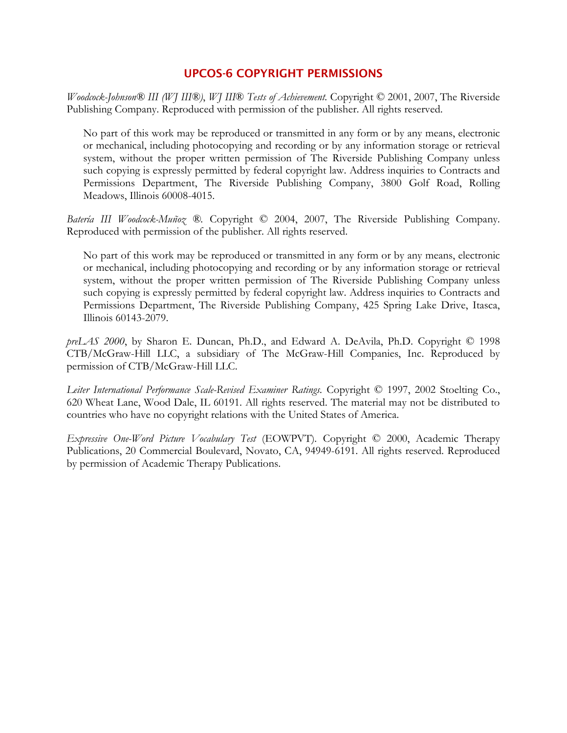## UPCOS-6 COPYRIGHT PERMISSIONS

*Woodcock-Johnson® III (WJ III®)*, *WJ III*® *Tests of Achievement.* Copyright © 2001, 2007, The Riverside Publishing Company. Reproduced with permission of the publisher. All rights reserved.

No part of this work may be reproduced or transmitted in any form or by any means, electronic or mechanical, including photocopying and recording or by any information storage or retrieval system, without the proper written permission of The Riverside Publishing Company unless such copying is expressly permitted by federal copyright law. Address inquiries to Contracts and Permissions Department, The Riverside Publishing Company, 3800 Golf Road, Rolling Meadows, Illinois 60008-4015.

*Batería III Woodcock-Muñoz ®.* Copyright © 2004, 2007, The Riverside Publishing Company. Reproduced with permission of the publisher. All rights reserved.

No part of this work may be reproduced or transmitted in any form or by any means, electronic or mechanical, including photocopying and recording or by any information storage or retrieval system, without the proper written permission of The Riverside Publishing Company unless such copying is expressly permitted by federal copyright law. Address inquiries to Contracts and Permissions Department, The Riverside Publishing Company, 425 Spring Lake Drive, Itasca, Illinois 60143-2079.

*preLAS 2000*, by Sharon E. Duncan, Ph.D., and Edward A. DeAvila, Ph.D. Copyright © 1998 CTB/McGraw-Hill LLC, a subsidiary of The McGraw-Hill Companies, Inc. Reproduced by permission of CTB/McGraw-Hill LLC.

*Leiter International Performance Scale-Revised Examiner Ratings.* Copyright © 1997, 2002 Stoelting Co., 620 Wheat Lane, Wood Dale, IL 60191. All rights reserved. The material may not be distributed to countries who have no copyright relations with the United States of America.

*Expressive One-Word Picture Vocabulary Test* (EOWPVT)*.* Copyright © 2000, Academic Therapy Publications, 20 Commercial Boulevard, Novato, CA, 94949-6191. All rights reserved. Reproduced by permission of Academic Therapy Publications.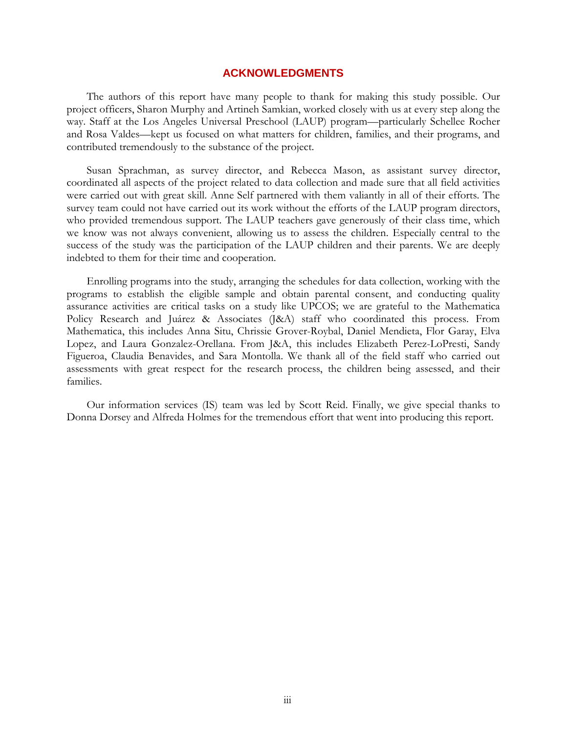### **ACKNOWLEDGMENTS**

The authors of this report have many people to thank for making this study possible. Our project officers, Sharon Murphy and Artineh Samkian, worked closely with us at every step along the way. Staff at the Los Angeles Universal Preschool (LAUP) program—particularly Schellee Rocher and Rosa Valdes—kept us focused on what matters for children, families, and their programs, and contributed tremendously to the substance of the project.

Susan Sprachman, as survey director, and Rebecca Mason, as assistant survey director, coordinated all aspects of the project related to data collection and made sure that all field activities were carried out with great skill. Anne Self partnered with them valiantly in all of their efforts. The survey team could not have carried out its work without the efforts of the LAUP program directors, who provided tremendous support. The LAUP teachers gave generously of their class time, which we know was not always convenient, allowing us to assess the children. Especially central to the success of the study was the participation of the LAUP children and their parents. We are deeply indebted to them for their time and cooperation.

Enrolling programs into the study, arranging the schedules for data collection, working with the programs to establish the eligible sample and obtain parental consent, and conducting quality assurance activities are critical tasks on a study like UPCOS; we are grateful to the Mathematica Policy Research and Juárez & Associates (J&A) staff who coordinated this process. From Mathematica, this includes Anna Situ, Chrissie Grover-Roybal, Daniel Mendieta, Flor Garay, Elva Lopez, and Laura Gonzalez-Orellana. From J&A, this includes Elizabeth Perez-LoPresti, Sandy Figueroa, Claudia Benavides, and Sara Montolla. We thank all of the field staff who carried out assessments with great respect for the research process, the children being assessed, and their families.

Our information services (IS) team was led by Scott Reid. Finally, we give special thanks to Donna Dorsey and Alfreda Holmes for the tremendous effort that went into producing this report.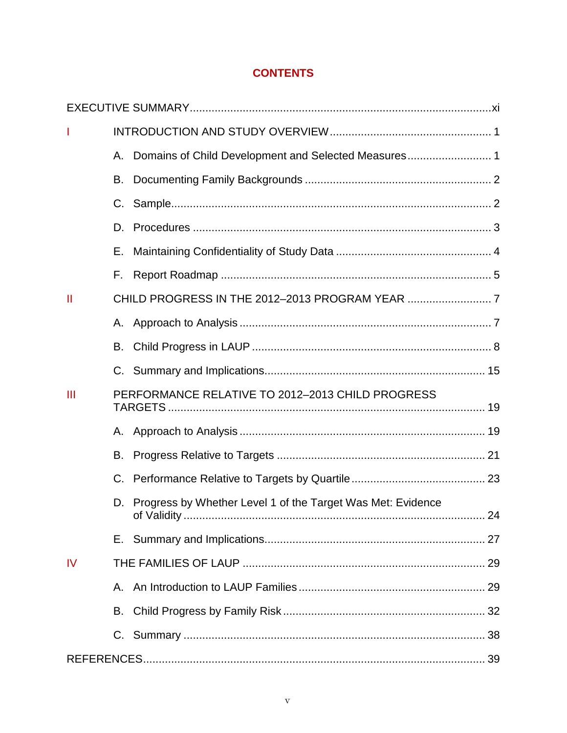# **CONTENTS**

| т            |                                                  |                                                             |  |  |  |  |  |
|--------------|--------------------------------------------------|-------------------------------------------------------------|--|--|--|--|--|
|              | Α.                                               |                                                             |  |  |  |  |  |
|              | В.                                               |                                                             |  |  |  |  |  |
|              | C.                                               |                                                             |  |  |  |  |  |
|              | D.                                               |                                                             |  |  |  |  |  |
|              | Е.                                               |                                                             |  |  |  |  |  |
|              | F.                                               |                                                             |  |  |  |  |  |
| $\mathbf{I}$ |                                                  |                                                             |  |  |  |  |  |
|              |                                                  |                                                             |  |  |  |  |  |
|              | B.                                               |                                                             |  |  |  |  |  |
|              |                                                  |                                                             |  |  |  |  |  |
| III          | PERFORMANCE RELATIVE TO 2012-2013 CHILD PROGRESS |                                                             |  |  |  |  |  |
|              |                                                  |                                                             |  |  |  |  |  |
|              | В.                                               |                                                             |  |  |  |  |  |
|              | C.                                               |                                                             |  |  |  |  |  |
|              | D.                                               | Progress by Whether Level 1 of the Target Was Met: Evidence |  |  |  |  |  |
|              |                                                  |                                                             |  |  |  |  |  |
| <b>IV</b>    |                                                  |                                                             |  |  |  |  |  |
|              |                                                  |                                                             |  |  |  |  |  |
|              | В.                                               |                                                             |  |  |  |  |  |
|              |                                                  |                                                             |  |  |  |  |  |
|              |                                                  |                                                             |  |  |  |  |  |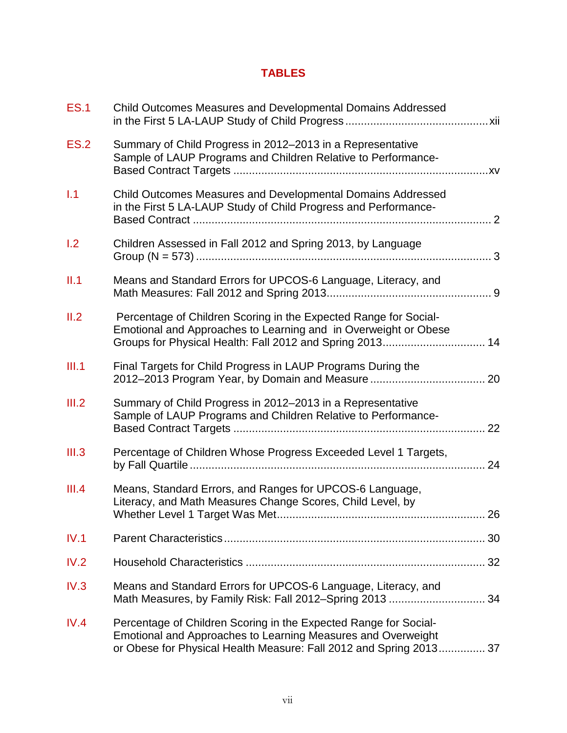# **TABLES**

| <b>ES.1</b> | Child Outcomes Measures and Developmental Domains Addressed                                                                                                                                            |    |
|-------------|--------------------------------------------------------------------------------------------------------------------------------------------------------------------------------------------------------|----|
| <b>ES.2</b> | Summary of Child Progress in 2012-2013 in a Representative<br>Sample of LAUP Programs and Children Relative to Performance-                                                                            |    |
| 1.1         | Child Outcomes Measures and Developmental Domains Addressed<br>in the First 5 LA-LAUP Study of Child Progress and Performance-                                                                         |    |
| 1.2         | Children Assessed in Fall 2012 and Spring 2013, by Language                                                                                                                                            |    |
| II.1        | Means and Standard Errors for UPCOS-6 Language, Literacy, and                                                                                                                                          |    |
| II.2        | Percentage of Children Scoring in the Expected Range for Social-<br>Emotional and Approaches to Learning and in Overweight or Obese<br>Groups for Physical Health: Fall 2012 and Spring 2013 14        |    |
| III.1       | Final Targets for Child Progress in LAUP Programs During the                                                                                                                                           |    |
| III.2       | Summary of Child Progress in 2012-2013 in a Representative<br>Sample of LAUP Programs and Children Relative to Performance-                                                                            | 22 |
| III.3       | Percentage of Children Whose Progress Exceeded Level 1 Targets,                                                                                                                                        | 24 |
| III.4       | Means, Standard Errors, and Ranges for UPCOS-6 Language,<br>Literacy, and Math Measures Change Scores, Child Level, by<br>Whether Level 1 Target Was Met                                               | 26 |
| IV.1        |                                                                                                                                                                                                        |    |
| IV.2        |                                                                                                                                                                                                        |    |
| IV.3        | Means and Standard Errors for UPCOS-6 Language, Literacy, and<br>Math Measures, by Family Risk: Fall 2012-Spring 2013  34                                                                              |    |
| IV.4        | Percentage of Children Scoring in the Expected Range for Social-<br>Emotional and Approaches to Learning Measures and Overweight<br>or Obese for Physical Health Measure: Fall 2012 and Spring 2013 37 |    |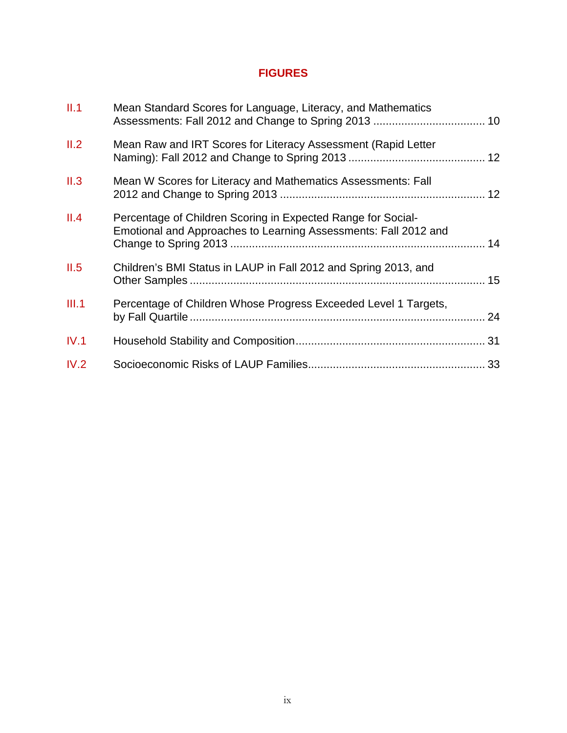# **FIGURES**

| II.1  | Mean Standard Scores for Language, Literacy, and Mathematics                                                                    |  |
|-------|---------------------------------------------------------------------------------------------------------------------------------|--|
| II.2  | Mean Raw and IRT Scores for Literacy Assessment (Rapid Letter                                                                   |  |
| II.3  | Mean W Scores for Literacy and Mathematics Assessments: Fall                                                                    |  |
| II.4  | Percentage of Children Scoring in Expected Range for Social-<br>Emotional and Approaches to Learning Assessments: Fall 2012 and |  |
| II.5  | Children's BMI Status in LAUP in Fall 2012 and Spring 2013, and                                                                 |  |
| III.1 | Percentage of Children Whose Progress Exceeded Level 1 Targets,                                                                 |  |
| IV.1  |                                                                                                                                 |  |
| IV.2  |                                                                                                                                 |  |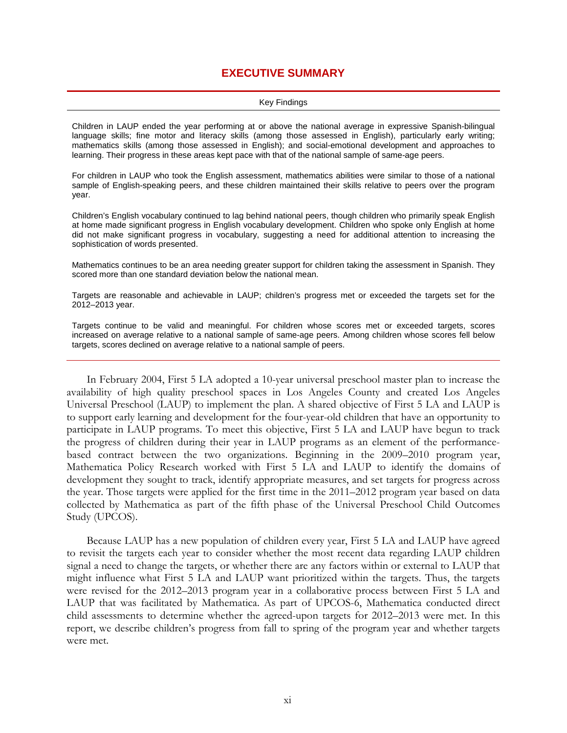## **EXECUTIVE SUMMARY**

#### Key Findings

Children in LAUP ended the year performing at or above the national average in expressive Spanish-bilingual language skills; fine motor and literacy skills (among those assessed in English), particularly early writing; mathematics skills (among those assessed in English); and social-emotional development and approaches to learning. Their progress in these areas kept pace with that of the national sample of same-age peers.

For children in LAUP who took the English assessment, mathematics abilities were similar to those of a national sample of English-speaking peers, and these children maintained their skills relative to peers over the program year.

Children's English vocabulary continued to lag behind national peers, though children who primarily speak English at home made significant progress in English vocabulary development. Children who spoke only English at home did not make significant progress in vocabulary, suggesting a need for additional attention to increasing the sophistication of words presented.

Mathematics continues to be an area needing greater support for children taking the assessment in Spanish. They scored more than one standard deviation below the national mean.

Targets are reasonable and achievable in LAUP; children's progress met or exceeded the targets set for the 2012–2013 year.

Targets continue to be valid and meaningful. For children whose scores met or exceeded targets, scores increased on average relative to a national sample of same-age peers. Among children whose scores fell below targets, scores declined on average relative to a national sample of peers.

In February 2004, First 5 LA adopted a 10-year universal preschool master plan to increase the availability of high quality preschool spaces in Los Angeles County and created Los Angeles Universal Preschool (LAUP) to implement the plan. A shared objective of First 5 LA and LAUP is to support early learning and development for the four-year-old children that have an opportunity to participate in LAUP programs. To meet this objective, First 5 LA and LAUP have begun to track the progress of children during their year in LAUP programs as an element of the performancebased contract between the two organizations. Beginning in the 2009–2010 program year, Mathematica Policy Research worked with First 5 LA and LAUP to identify the domains of development they sought to track, identify appropriate measures, and set targets for progress across the year. Those targets were applied for the first time in the 2011–2012 program year based on data collected by Mathematica as part of the fifth phase of the Universal Preschool Child Outcomes Study (UPCOS).

Because LAUP has a new population of children every year, First 5 LA and LAUP have agreed to revisit the targets each year to consider whether the most recent data regarding LAUP children signal a need to change the targets, or whether there are any factors within or external to LAUP that might influence what First 5 LA and LAUP want prioritized within the targets. Thus, the targets were revised for the 2012–2013 program year in a collaborative process between First 5 LA and LAUP that was facilitated by Mathematica. As part of UPCOS-6, Mathematica conducted direct child assessments to determine whether the agreed-upon targets for 2012–2013 were met. In this report, we describe children's progress from fall to spring of the program year and whether targets were met.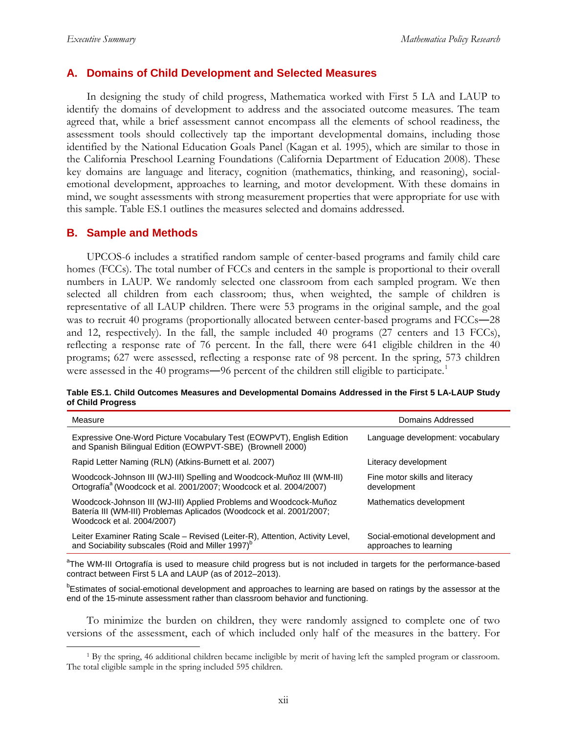### **A. Domains of Child Development and Selected Measures**

In designing the study of child progress, Mathematica worked with First 5 LA and LAUP to identify the domains of development to address and the associated outcome measures. The team agreed that, while a brief assessment cannot encompass all the elements of school readiness, the assessment tools should collectively tap the important developmental domains, including those identified by the National Education Goals Panel (Kagan et al. 1995), which are similar to those in the California Preschool Learning Foundations (California Department of Education 2008). These key domains are language and literacy, cognition (mathematics, thinking, and reasoning), socialemotional development, approaches to learning, and motor development. With these domains in mind, we sought assessments with strong measurement properties that were appropriate for use with this sample. Table ES.1 outlines the measures selected and domains addressed.

### **B. Sample and Methods**

UPCOS-6 includes a stratified random sample of center-based programs and family child care homes (FCCs). The total number of FCCs and centers in the sample is proportional to their overall numbers in LAUP. We randomly selected one classroom from each sampled program. We then selected all children from each classroom; thus, when weighted, the sample of children is representative of all LAUP children. There were 53 programs in the original sample, and the goal was to recruit 40 programs (proportionally allocated between center-based programs and FCCs-28 and 12, respectively). In the fall, the sample included 40 programs (27 centers and 13 FCCs), reflecting a response rate of 76 percent. In the fall, there were 641 eligible children in the 40 programs; 627 were assessed, reflecting a response rate of 98 percent. In the spring, 573 children were assessed in the 40 programs—96 percent of the children still eligible to participate.<sup>[1](#page-13-0)</sup>

|                   | Table ES.1. Child Outcomes Measures and Developmental Domains Addressed in the First 5 LA-LAUP Study |  |  |
|-------------------|------------------------------------------------------------------------------------------------------|--|--|
| of Child Progress |                                                                                                      |  |  |

| Measure                                                                                                                                                                 | Domains Addressed                                          |
|-------------------------------------------------------------------------------------------------------------------------------------------------------------------------|------------------------------------------------------------|
| Expressive One-Word Picture Vocabulary Test (EOWPVT), English Edition<br>and Spanish Bilingual Edition (EOWPVT-SBE) (Brownell 2000)                                     | Language development: vocabulary                           |
| Rapid Letter Naming (RLN) (Atkins-Burnett et al. 2007)                                                                                                                  | Literacy development                                       |
| Woodcock-Johnson III (WJ-III) Spelling and Woodcock-Muñoz III (WM-III)<br>Ortografía <sup>a</sup> (Woodcock et al. 2001/2007; Woodcock et al. 2004/2007)                | Fine motor skills and literacy<br>development              |
| Woodcock-Johnson III (WJ-III) Applied Problems and Woodcock-Muñoz<br>Batería III (WM-III) Problemas Aplicados (Woodcock et al. 2001/2007;<br>Woodcock et al. 2004/2007) | Mathematics development                                    |
| Leiter Examiner Rating Scale - Revised (Leiter-R), Attention, Activity Level,<br>and Sociability subscales (Roid and Miller 1997) <sup>b</sup>                          | Social-emotional development and<br>approaches to learning |

<sup>a</sup>The WM-III Ortografía is used to measure child progress but is not included in targets for the performance-based contract between First 5 LA and LAUP (as of 2012–2013).

**Estimates of social-emotional development and approaches to learning are based on ratings by the assessor at the** end of the 15-minute assessment rather than classroom behavior and functioning.

To minimize the burden on children, they were randomly assigned to complete one of two versions of the assessment, each of which included only half of the measures in the battery. For

<span id="page-13-0"></span> <sup>1</sup> By the spring, 46 additional children became ineligible by merit of having left the sampled program or classroom. The total eligible sample in the spring included 595 children.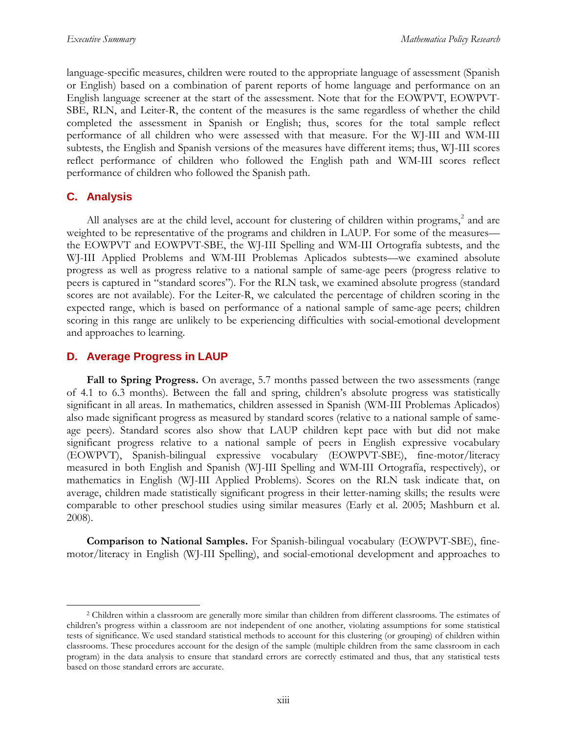language-specific measures, children were routed to the appropriate language of assessment (Spanish or English) based on a combination of parent reports of home language and performance on an English language screener at the start of the assessment. Note that for the EOWPVT, EOWPVT-SBE, RLN, and Leiter-R, the content of the measures is the same regardless of whether the child completed the assessment in Spanish or English; thus, scores for the total sample reflect performance of all children who were assessed with that measure. For the WJ-III and WM-III subtests, the English and Spanish versions of the measures have different items; thus, WJ-III scores reflect performance of children who followed the English path and WM-III scores reflect performance of children who followed the Spanish path.

## **C. Analysis**

All analyses are at the child level, account for clustering of children within programs,<sup>[2](#page-14-0)</sup> and are weighted to be representative of the programs and children in LAUP. For some of the measures the EOWPVT and EOWPVT-SBE, the WJ-III Spelling and WM-III Ortografía subtests, and the WJ-III Applied Problems and WM-III Problemas Aplicados subtests—we examined absolute progress as well as progress relative to a national sample of same-age peers (progress relative to peers is captured in "standard scores"). For the RLN task, we examined absolute progress (standard scores are not available). For the Leiter-R, we calculated the percentage of children scoring in the expected range, which is based on performance of a national sample of same-age peers; children scoring in this range are unlikely to be experiencing difficulties with social-emotional development and approaches to learning.

## **D. Average Progress in LAUP**

**Fall to Spring Progress.** On average, 5.7 months passed between the two assessments (range of 4.1 to 6.3 months). Between the fall and spring, children's absolute progress was statistically significant in all areas. In mathematics, children assessed in Spanish (WM-III Problemas Aplicados) also made significant progress as measured by standard scores (relative to a national sample of sameage peers). Standard scores also show that LAUP children kept pace with but did not make significant progress relative to a national sample of peers in English expressive vocabulary (EOWPVT), Spanish-bilingual expressive vocabulary (EOWPVT-SBE), fine-motor/literacy measured in both English and Spanish (WJ-III Spelling and WM-III Ortografía, respectively), or mathematics in English (WJ-III Applied Problems). Scores on the RLN task indicate that, on average, children made statistically significant progress in their letter-naming skills; the results were comparable to other preschool studies using similar measures (Early et al. 2005; Mashburn et al. 2008).

**Comparison to National Samples.** For Spanish-bilingual vocabulary (EOWPVT-SBE), finemotor/literacy in English (WJ-III Spelling), and social-emotional development and approaches to

<span id="page-14-0"></span> <sup>2</sup> Children within a classroom are generally more similar than children from different classrooms. The estimates of children's progress within a classroom are not independent of one another, violating assumptions for some statistical tests of significance. We used standard statistical methods to account for this clustering (or grouping) of children within classrooms. These procedures account for the design of the sample (multiple children from the same classroom in each program) in the data analysis to ensure that standard errors are correctly estimated and thus, that any statistical tests based on those standard errors are accurate.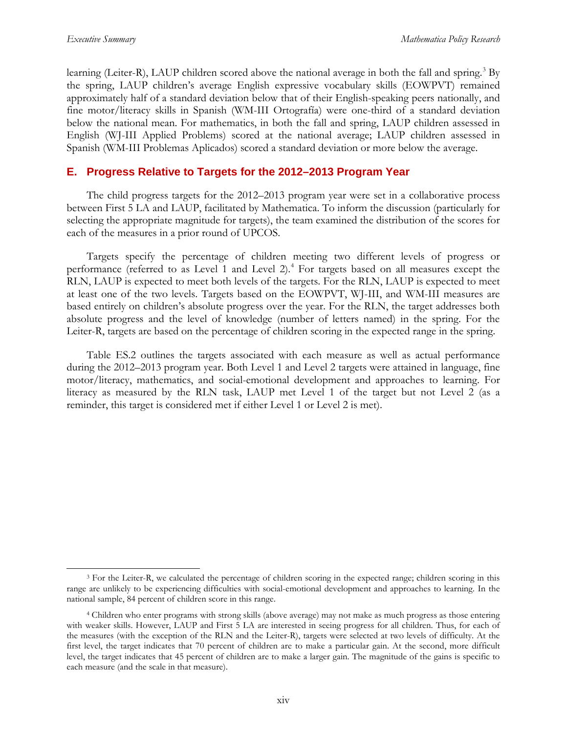learning (Leiter-R), LAUP children scored above the national average in both the fall and spring.<sup>[3](#page-15-0)</sup> By the spring, LAUP children's average English expressive vocabulary skills (EOWPVT) remained approximately half of a standard deviation below that of their English-speaking peers nationally, and fine motor/literacy skills in Spanish (WM-III Ortografía) were one-third of a standard deviation below the national mean. For mathematics, in both the fall and spring, LAUP children assessed in English (WJ-III Applied Problems) scored at the national average; LAUP children assessed in Spanish (WM-III Problemas Aplicados) scored a standard deviation or more below the average.

## **E. Progress Relative to Targets for the 2012–2013 Program Year**

The child progress targets for the 2012–2013 program year were set in a collaborative process between First 5 LA and LAUP, facilitated by Mathematica. To inform the discussion (particularly for selecting the appropriate magnitude for targets), the team examined the distribution of the scores for each of the measures in a prior round of UPCOS.

Targets specify the percentage of children meeting two different levels of progress or performance (referred to as Level 1 and Level 2). [4](#page-15-1) For targets based on all measures except the RLN, LAUP is expected to meet both levels of the targets. For the RLN, LAUP is expected to meet at least one of the two levels. Targets based on the EOWPVT, WJ-III, and WM-III measures are based entirely on children's absolute progress over the year. For the RLN, the target addresses both absolute progress and the level of knowledge (number of letters named) in the spring. For the Leiter-R, targets are based on the percentage of children scoring in the expected range in the spring.

Table ES.2 outlines the targets associated with each measure as well as actual performance during the 2012–2013 program year. Both Level 1 and Level 2 targets were attained in language, fine motor/literacy, mathematics, and social-emotional development and approaches to learning. For literacy as measured by the RLN task, LAUP met Level 1 of the target but not Level 2 (as a reminder, this target is considered met if either Level 1 or Level 2 is met).

<span id="page-15-0"></span> <sup>3</sup> For the Leiter-R, we calculated the percentage of children scoring in the expected range; children scoring in this range are unlikely to be experiencing difficulties with social-emotional development and approaches to learning. In the national sample, 84 percent of children score in this range.

<span id="page-15-1"></span><sup>4</sup> Children who enter programs with strong skills (above average) may not make as much progress as those entering with weaker skills. However, LAUP and First 5 LA are interested in seeing progress for all children. Thus, for each of the measures (with the exception of the RLN and the Leiter-R), targets were selected at two levels of difficulty. At the first level, the target indicates that 70 percent of children are to make a particular gain. At the second, more difficult level, the target indicates that 45 percent of children are to make a larger gain. The magnitude of the gains is specific to each measure (and the scale in that measure).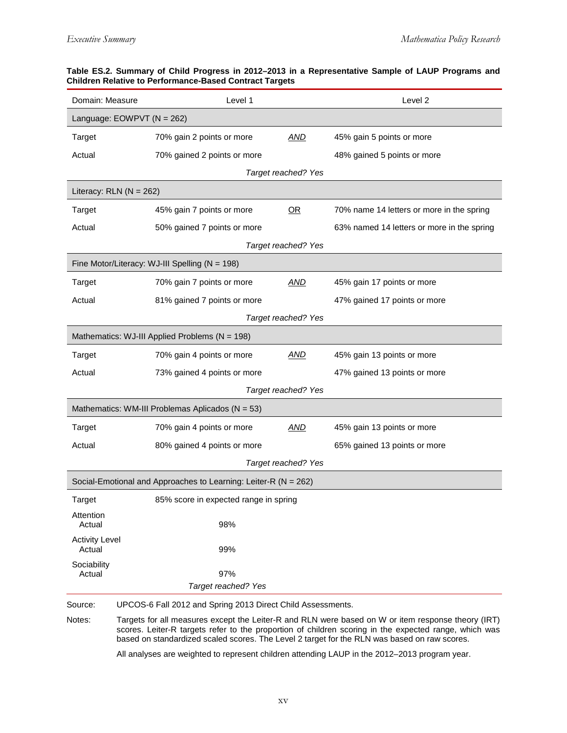| Level 1<br>Domain: Measure<br>Level 2 |                                                                 |                     |                                                                                                                                                                                                             |  |  |  |  |
|---------------------------------------|-----------------------------------------------------------------|---------------------|-------------------------------------------------------------------------------------------------------------------------------------------------------------------------------------------------------------|--|--|--|--|
| Language: EOWPVT (N = 262)            |                                                                 |                     |                                                                                                                                                                                                             |  |  |  |  |
| Target                                | 70% gain 2 points or more                                       | AND                 | 45% gain 5 points or more                                                                                                                                                                                   |  |  |  |  |
| Actual                                | 70% gained 2 points or more                                     |                     | 48% gained 5 points or more                                                                                                                                                                                 |  |  |  |  |
|                                       |                                                                 | Target reached? Yes |                                                                                                                                                                                                             |  |  |  |  |
| Literacy: $RLN (N = 262)$             |                                                                 |                     |                                                                                                                                                                                                             |  |  |  |  |
| Target                                | 45% gain 7 points or more                                       | OR                  | 70% name 14 letters or more in the spring                                                                                                                                                                   |  |  |  |  |
| Actual                                | 50% gained 7 points or more                                     |                     | 63% named 14 letters or more in the spring                                                                                                                                                                  |  |  |  |  |
|                                       |                                                                 | Target reached? Yes |                                                                                                                                                                                                             |  |  |  |  |
|                                       | Fine Motor/Literacy: WJ-III Spelling (N = 198)                  |                     |                                                                                                                                                                                                             |  |  |  |  |
| <b>Target</b>                         | 70% gain 7 points or more                                       | AND                 | 45% gain 17 points or more                                                                                                                                                                                  |  |  |  |  |
| Actual                                | 81% gained 7 points or more                                     |                     | 47% gained 17 points or more                                                                                                                                                                                |  |  |  |  |
|                                       |                                                                 | Target reached? Yes |                                                                                                                                                                                                             |  |  |  |  |
|                                       | Mathematics: WJ-III Applied Problems (N = 198)                  |                     |                                                                                                                                                                                                             |  |  |  |  |
| Target                                | 70% gain 4 points or more                                       | <b>AND</b>          | 45% gain 13 points or more                                                                                                                                                                                  |  |  |  |  |
| Actual                                | 73% gained 4 points or more                                     |                     | 47% gained 13 points or more                                                                                                                                                                                |  |  |  |  |
|                                       |                                                                 | Target reached? Yes |                                                                                                                                                                                                             |  |  |  |  |
|                                       | Mathematics: WM-III Problemas Aplicados (N = 53)                |                     |                                                                                                                                                                                                             |  |  |  |  |
| Target                                | 70% gain 4 points or more                                       | AND                 | 45% gain 13 points or more                                                                                                                                                                                  |  |  |  |  |
| Actual                                | 80% gained 4 points or more                                     |                     | 65% gained 13 points or more                                                                                                                                                                                |  |  |  |  |
|                                       |                                                                 | Target reached? Yes |                                                                                                                                                                                                             |  |  |  |  |
|                                       | Social-Emotional and Approaches to Learning: Leiter-R (N = 262) |                     |                                                                                                                                                                                                             |  |  |  |  |
| Target                                | 85% score in expected range in spring                           |                     |                                                                                                                                                                                                             |  |  |  |  |
| Attention<br>Actual                   | 98%                                                             |                     |                                                                                                                                                                                                             |  |  |  |  |
| <b>Activity Level</b><br>Actual       | 99%                                                             |                     |                                                                                                                                                                                                             |  |  |  |  |
| Sociability<br>Actual                 | 97%                                                             |                     |                                                                                                                                                                                                             |  |  |  |  |
|                                       | Target reached? Yes                                             |                     |                                                                                                                                                                                                             |  |  |  |  |
| Source:                               | UPCOS-6 Fall 2012 and Spring 2013 Direct Child Assessments.     |                     |                                                                                                                                                                                                             |  |  |  |  |
| Notes:                                |                                                                 |                     | Targets for all measures except the Leiter-R and RLN were based on W or item response theory (IRT)<br>scores. Leiter-R targets refer to the proportion of children scoring in the expected range, which was |  |  |  |  |

#### **Table ES.2. Summary of Child Progress in 2012–2013 in a Representative Sample of LAUP Programs and Children Relative to Performance-Based Contract Targets**

based on standardized scaled scores. The Level 2 target for the RLN was based on raw scores. All analyses are weighted to represent children attending LAUP in the 2012–2013 program year.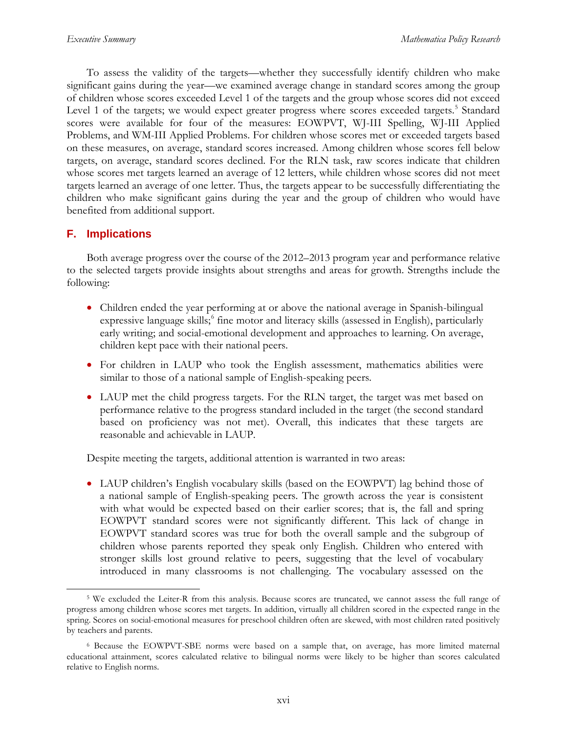To assess the validity of the targets—whether they successfully identify children who make significant gains during the year—we examined average change in standard scores among the group of children whose scores exceeded Level 1 of the targets and the group whose scores did not exceed Level 1 of the targets; we would expect greater progress where scores exceeded targets.<sup>[5](#page-17-0)</sup> Standard scores were available for four of the measures: EOWPVT, WJ-III Spelling, WJ-III Applied Problems, and WM-III Applied Problems. For children whose scores met or exceeded targets based on these measures, on average, standard scores increased. Among children whose scores fell below targets, on average, standard scores declined. For the RLN task, raw scores indicate that children whose scores met targets learned an average of 12 letters, while children whose scores did not meet targets learned an average of one letter. Thus, the targets appear to be successfully differentiating the children who make significant gains during the year and the group of children who would have benefited from additional support.

## **F. Implications**

Both average progress over the course of the 2012–2013 program year and performance relative to the selected targets provide insights about strengths and areas for growth. Strengths include the following:

- Children ended the year performing at or above the national average in Spanish-bilingual expressive language skills;<sup>[6](#page-17-1)</sup> fine motor and literacy skills (assessed in English), particularly early writing; and social-emotional development and approaches to learning. On average, children kept pace with their national peers.
- For children in LAUP who took the English assessment, mathematics abilities were similar to those of a national sample of English-speaking peers.
- LAUP met the child progress targets. For the RLN target, the target was met based on performance relative to the progress standard included in the target (the second standard based on proficiency was not met). Overall, this indicates that these targets are reasonable and achievable in LAUP.

Despite meeting the targets, additional attention is warranted in two areas:

• LAUP children's English vocabulary skills (based on the EOWPVT) lag behind those of a national sample of English-speaking peers. The growth across the year is consistent with what would be expected based on their earlier scores; that is, the fall and spring EOWPVT standard scores were not significantly different. This lack of change in EOWPVT standard scores was true for both the overall sample and the subgroup of children whose parents reported they speak only English. Children who entered with stronger skills lost ground relative to peers, suggesting that the level of vocabulary introduced in many classrooms is not challenging. The vocabulary assessed on the

<span id="page-17-0"></span> <sup>5</sup> We excluded the Leiter-R from this analysis. Because scores are truncated, we cannot assess the full range of progress among children whose scores met targets. In addition, virtually all children scored in the expected range in the spring. Scores on social-emotional measures for preschool children often are skewed, with most children rated positively by teachers and parents.

<span id="page-17-1"></span><sup>6</sup> Because the EOWPVT-SBE norms were based on a sample that, on average, has more limited maternal educational attainment, scores calculated relative to bilingual norms were likely to be higher than scores calculated relative to English norms.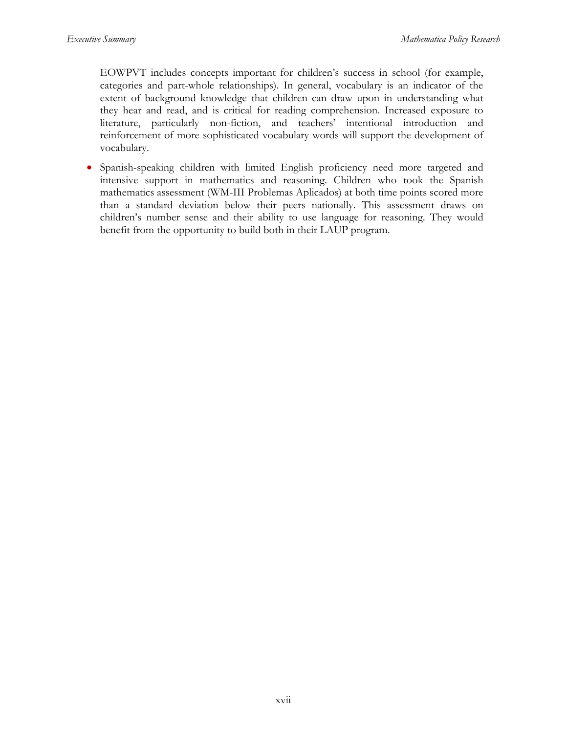EOWPVT includes concepts important for children's success in school (for example, categories and part-whole relationships). In general, vocabulary is an indicator of the extent of background knowledge that children can draw upon in understanding what they hear and read, and is critical for reading comprehension. Increased exposure to literature, particularly non-fiction, and teachers' intentional introduction and reinforcement of more sophisticated vocabulary words will support the development of vocabulary.

• Spanish-speaking children with limited English proficiency need more targeted and intensive support in mathematics and reasoning. Children who took the Spanish mathematics assessment (WM-III Problemas Aplicados) at both time points scored more than a standard deviation below their peers nationally. This assessment draws on children's number sense and their ability to use language for reasoning. They would benefit from the opportunity to build both in their LAUP program.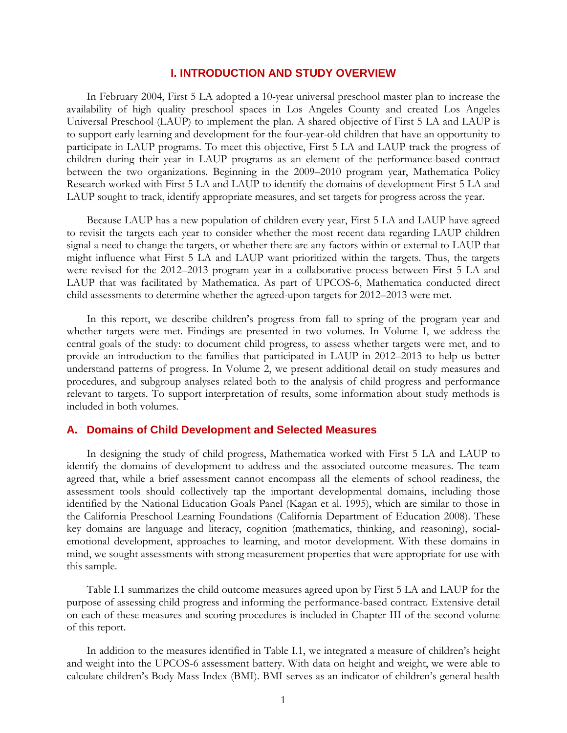## **I. INTRODUCTION AND STUDY OVERVIEW**

In February 2004, First 5 LA adopted a 10-year universal preschool master plan to increase the availability of high quality preschool spaces in Los Angeles County and created Los Angeles Universal Preschool (LAUP) to implement the plan. A shared objective of First 5 LA and LAUP is to support early learning and development for the four-year-old children that have an opportunity to participate in LAUP programs. To meet this objective, First 5 LA and LAUP track the progress of children during their year in LAUP programs as an element of the performance-based contract between the two organizations. Beginning in the 2009–2010 program year, Mathematica Policy Research worked with First 5 LA and LAUP to identify the domains of development First 5 LA and LAUP sought to track, identify appropriate measures, and set targets for progress across the year.

Because LAUP has a new population of children every year, First 5 LA and LAUP have agreed to revisit the targets each year to consider whether the most recent data regarding LAUP children signal a need to change the targets, or whether there are any factors within or external to LAUP that might influence what First 5 LA and LAUP want prioritized within the targets. Thus, the targets were revised for the 2012–2013 program year in a collaborative process between First 5 LA and LAUP that was facilitated by Mathematica. As part of UPCOS-6, Mathematica conducted direct child assessments to determine whether the agreed-upon targets for 2012–2013 were met.

In this report, we describe children's progress from fall to spring of the program year and whether targets were met. Findings are presented in two volumes. In Volume I, we address the central goals of the study: to document child progress, to assess whether targets were met, and to provide an introduction to the families that participated in LAUP in 2012–2013 to help us better understand patterns of progress. In Volume 2, we present additional detail on study measures and procedures, and subgroup analyses related both to the analysis of child progress and performance relevant to targets. To support interpretation of results, some information about study methods is included in both volumes.

### **A. Domains of Child Development and Selected Measures**

In designing the study of child progress, Mathematica worked with First 5 LA and LAUP to identify the domains of development to address and the associated outcome measures. The team agreed that, while a brief assessment cannot encompass all the elements of school readiness, the assessment tools should collectively tap the important developmental domains, including those identified by the National Education Goals Panel (Kagan et al. 1995), which are similar to those in the California Preschool Learning Foundations (California Department of Education 2008). These key domains are language and literacy, cognition (mathematics, thinking, and reasoning), socialemotional development, approaches to learning, and motor development. With these domains in mind, we sought assessments with strong measurement properties that were appropriate for use with this sample.

Table I.1 summarizes the child outcome measures agreed upon by First 5 LA and LAUP for the purpose of assessing child progress and informing the performance-based contract. Extensive detail on each of these measures and scoring procedures is included in Chapter III of the second volume of this report.

In addition to the measures identified in Table I.1, we integrated a measure of children's height and weight into the UPCOS-6 assessment battery. With data on height and weight, we were able to calculate children's Body Mass Index (BMI). BMI serves as an indicator of children's general health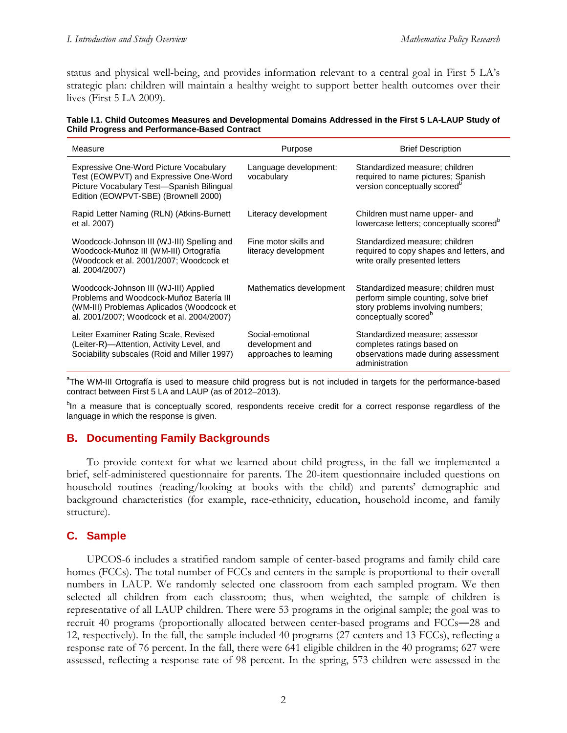status and physical well-being, and provides information relevant to a central goal in First 5 LA's strategic plan: children will maintain a healthy weight to support better health outcomes over their lives (First 5 LA 2009).

| Table I.1. Child Outcomes Measures and Developmental Domains Addressed in the First 5 LA-LAUP Study of |
|--------------------------------------------------------------------------------------------------------|
| <b>Child Progress and Performance-Based Contract</b>                                                   |

| Measure                                                                                                                                                                    | Purpose                                                       | <b>Brief Description</b>                                                                                                                             |
|----------------------------------------------------------------------------------------------------------------------------------------------------------------------------|---------------------------------------------------------------|------------------------------------------------------------------------------------------------------------------------------------------------------|
| Expressive One-Word Picture Vocabulary<br>Test (EOWPVT) and Expressive One-Word<br>Picture Vocabulary Test-Spanish Bilingual<br>Edition (EOWPVT-SBE) (Brownell 2000)       | Language development:<br>vocabulary                           | Standardized measure; children<br>required to name pictures; Spanish<br>version conceptually scored <sup>o</sup>                                     |
| Rapid Letter Naming (RLN) (Atkins-Burnett<br>et al. 2007)                                                                                                                  | Literacy development                                          | Children must name upper- and<br>lowercase letters; conceptually scored <sup>b</sup>                                                                 |
| Woodcock-Johnson III (WJ-III) Spelling and<br>Woodcock-Muñoz III (WM-III) Ortografía<br>(Woodcock et al. 2001/2007; Woodcock et<br>al. 2004/2007)                          | Fine motor skills and<br>literacy development                 | Standardized measure; children<br>required to copy shapes and letters, and<br>write orally presented letters                                         |
| Woodcock-Johnson III (WJ-III) Applied<br>Problems and Woodcock-Muñoz Batería III<br>(WM-III) Problemas Aplicados (Woodcock et<br>al. 2001/2007; Woodcock et al. 2004/2007) | Mathematics development                                       | Standardized measure; children must<br>perform simple counting, solve brief<br>story problems involving numbers;<br>conceptually scored <sup>o</sup> |
| Leiter Examiner Rating Scale, Revised<br>(Leiter-R)-Attention, Activity Level, and<br>Sociability subscales (Roid and Miller 1997)                                         | Social-emotional<br>development and<br>approaches to learning | Standardized measure; assessor<br>completes ratings based on<br>observations made during assessment<br>administration                                |

<sup>a</sup>The WM-III Ortografía is used to measure child progress but is not included in targets for the performance-based contract between First 5 LA and LAUP (as of 2012–2013).

<sup>b</sup>In a measure that is conceptually scored, respondents receive credit for a correct response regardless of the language in which the response is given.

## **B. Documenting Family Backgrounds**

To provide context for what we learned about child progress, in the fall we implemented a brief, self-administered questionnaire for parents. The 20-item questionnaire included questions on household routines (reading/looking at books with the child) and parents' demographic and background characteristics (for example, race-ethnicity, education, household income, and family structure).

## **C. Sample**

UPCOS-6 includes a stratified random sample of center-based programs and family child care homes (FCCs). The total number of FCCs and centers in the sample is proportional to their overall numbers in LAUP. We randomly selected one classroom from each sampled program. We then selected all children from each classroom; thus, when weighted, the sample of children is representative of all LAUP children. There were 53 programs in the original sample; the goal was to recruit 40 programs (proportionally allocated between center-based programs and FCCs―28 and 12, respectively). In the fall, the sample included 40 programs (27 centers and 13 FCCs), reflecting a response rate of 76 percent. In the fall, there were 641 eligible children in the 40 programs; 627 were assessed, reflecting a response rate of 98 percent. In the spring, 573 children were assessed in the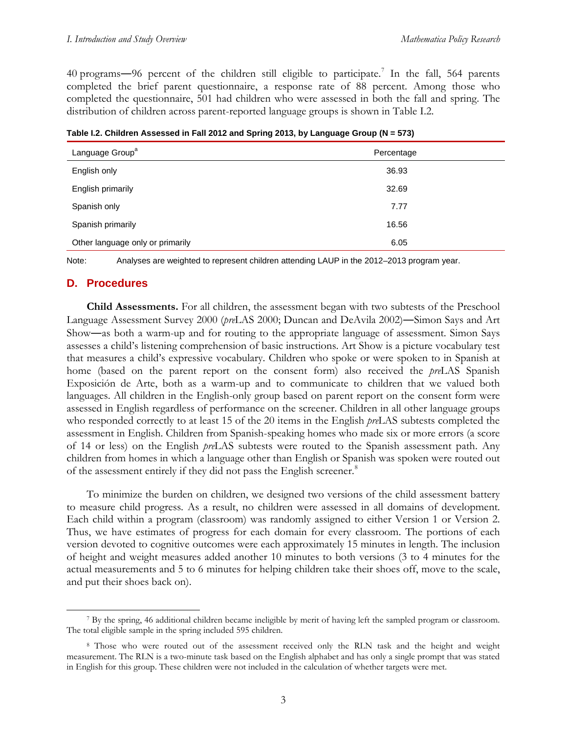40 programs—96 percent of the children still eligible to participate.<sup>[7](#page-22-0)</sup> In the fall, 564 parents completed the brief parent questionnaire, a response rate of 88 percent. Among those who completed the questionnaire, 501 had children who were assessed in both the fall and spring. The distribution of children across parent-reported language groups is shown in Table I.2.

| Language Group <sup>a</sup>      | Percentage |
|----------------------------------|------------|
| English only                     | 36.93      |
| English primarily                | 32.69      |
| Spanish only                     | 7.77       |
| Spanish primarily                | 16.56      |
| Other language only or primarily | 6.05       |

**Table I.2. Children Assessed in Fall 2012 and Spring 2013, by Language Group (N = 573)**

Note: Analyses are weighted to represent children attending LAUP in the 2012–2013 program year.

## **D. Procedures**

**Child Assessments.** For all children, the assessment began with two subtests of the Preschool Language Assessment Survey 2000 (*pre*LAS 2000; Duncan and DeAvila 2002)―Simon Says and Art Show―as both a warm-up and for routing to the appropriate language of assessment. Simon Says assesses a child's listening comprehension of basic instructions. Art Show is a picture vocabulary test that measures a child's expressive vocabulary. Children who spoke or were spoken to in Spanish at home (based on the parent report on the consent form) also received the *pre*LAS Spanish Exposición de Arte, both as a warm-up and to communicate to children that we valued both languages. All children in the English-only group based on parent report on the consent form were assessed in English regardless of performance on the screener. Children in all other language groups who responded correctly to at least 15 of the 20 items in the English *pre*LAS subtests completed the assessment in English. Children from Spanish-speaking homes who made six or more errors (a score of 14 or less) on the English *pre*LAS subtests were routed to the Spanish assessment path. Any children from homes in which a language other than English or Spanish was spoken were routed out of the assessment entirely if they did not pass the English screener.<sup>[8](#page-22-1)</sup>

To minimize the burden on children, we designed two versions of the child assessment battery to measure child progress. As a result, no children were assessed in all domains of development. Each child within a program (classroom) was randomly assigned to either Version 1 or Version 2. Thus, we have estimates of progress for each domain for every classroom. The portions of each version devoted to cognitive outcomes were each approximately 15 minutes in length. The inclusion of height and weight measures added another 10 minutes to both versions (3 to 4 minutes for the actual measurements and 5 to 6 minutes for helping children take their shoes off, move to the scale, and put their shoes back on).

<span id="page-22-0"></span> <sup>7</sup> By the spring, 46 additional children became ineligible by merit of having left the sampled program or classroom. The total eligible sample in the spring included 595 children.

<span id="page-22-1"></span><sup>8</sup> Those who were routed out of the assessment received only the RLN task and the height and weight measurement. The RLN is a two-minute task based on the English alphabet and has only a single prompt that was stated in English for this group. These children were not included in the calculation of whether targets were met.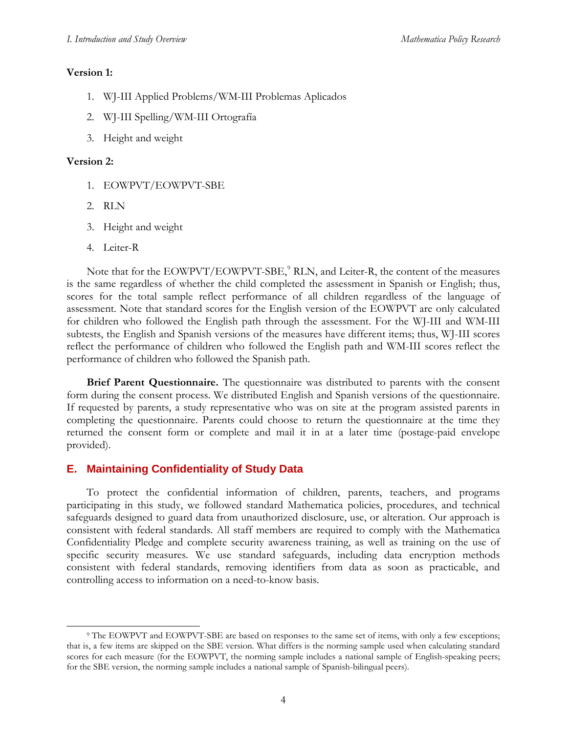## **Version 1:**

- 1. WJ-III Applied Problems/WM-III Problemas Aplicados
- 2. WJ-III Spelling/WM-III Ortografía
- 3. Height and weight

## **Version 2:**

- 1. EOWPVT/EOWPVT-SBE
- 2. RLN
- 3. Height and weight
- 4. Leiter-R

Note that for the EOWPVT/EOWPVT-SBE,<sup>[9](#page-23-0)</sup> RLN, and Leiter-R, the content of the measures is the same regardless of whether the child completed the assessment in Spanish or English; thus, scores for the total sample reflect performance of all children regardless of the language of assessment. Note that standard scores for the English version of the EOWPVT are only calculated for children who followed the English path through the assessment. For the WJ-III and WM-III subtests, the English and Spanish versions of the measures have different items; thus, WJ-III scores reflect the performance of children who followed the English path and WM-III scores reflect the performance of children who followed the Spanish path.

**Brief Parent Questionnaire.** The questionnaire was distributed to parents with the consent form during the consent process. We distributed English and Spanish versions of the questionnaire. If requested by parents, a study representative who was on site at the program assisted parents in completing the questionnaire. Parents could choose to return the questionnaire at the time they returned the consent form or complete and mail it in at a later time (postage-paid envelope provided).

# **E. Maintaining Confidentiality of Study Data**

To protect the confidential information of children, parents, teachers, and programs participating in this study, we followed standard Mathematica policies, procedures, and technical safeguards designed to guard data from unauthorized disclosure, use, or alteration. Our approach is consistent with federal standards. All staff members are required to comply with the Mathematica Confidentiality Pledge and complete security awareness training, as well as training on the use of specific security measures. We use standard safeguards, including data encryption methods consistent with federal standards, removing identifiers from data as soon as practicable, and controlling access to information on a need-to-know basis.

<span id="page-23-0"></span> <sup>9</sup> The EOWPVT and EOWPVT-SBE are based on responses to the same set of items, with only a few exceptions; that is, a few items are skipped on the SBE version. What differs is the norming sample used when calculating standard scores for each measure (for the EOWPVT, the norming sample includes a national sample of English-speaking peers; for the SBE version, the norming sample includes a national sample of Spanish-bilingual peers).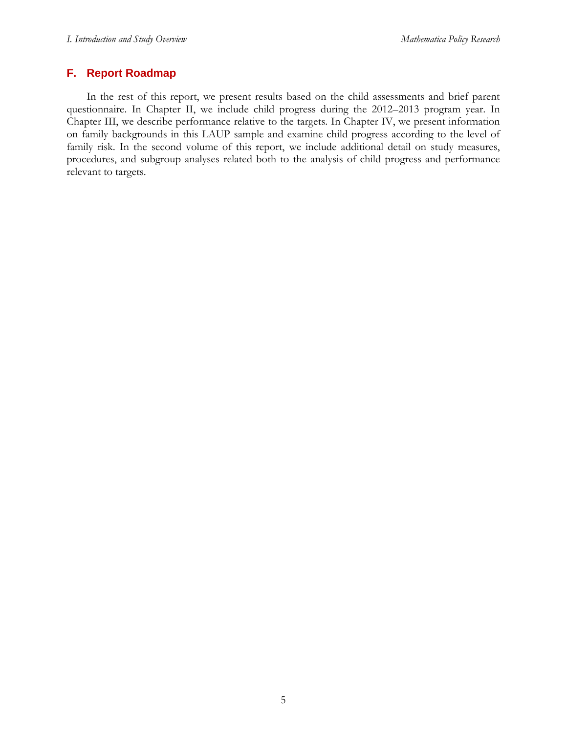## **F. Report Roadmap**

In the rest of this report, we present results based on the child assessments and brief parent questionnaire. In Chapter II, we include child progress during the 2012–2013 program year. In Chapter III, we describe performance relative to the targets. In Chapter IV, we present information on family backgrounds in this LAUP sample and examine child progress according to the level of family risk. In the second volume of this report, we include additional detail on study measures, procedures, and subgroup analyses related both to the analysis of child progress and performance relevant to targets.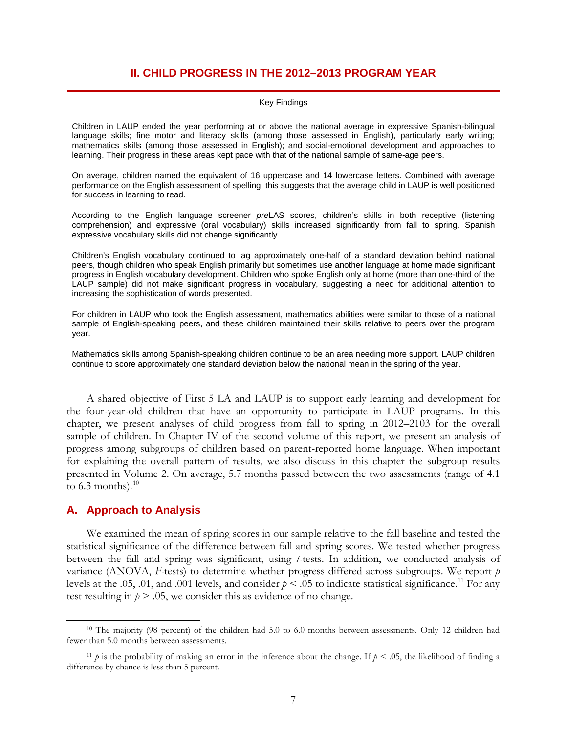## **II. CHILD PROGRESS IN THE 2012–2013 PROGRAM YEAR**

#### Key Findings

Children in LAUP ended the year performing at or above the national average in expressive Spanish-bilingual language skills; fine motor and literacy skills (among those assessed in English), particularly early writing; mathematics skills (among those assessed in English); and social-emotional development and approaches to learning. Their progress in these areas kept pace with that of the national sample of same-age peers.

On average, children named the equivalent of 16 uppercase and 14 lowercase letters. Combined with average performance on the English assessment of spelling, this suggests that the average child in LAUP is well positioned for success in learning to read.

According to the English language screener *pre*LAS scores, children's skills in both receptive (listening comprehension) and expressive (oral vocabulary) skills increased significantly from fall to spring. Spanish expressive vocabulary skills did not change significantly.

Children's English vocabulary continued to lag approximately one-half of a standard deviation behind national peers, though children who speak English primarily but sometimes use another language at home made significant progress in English vocabulary development. Children who spoke English only at home (more than one-third of the LAUP sample) did not make significant progress in vocabulary, suggesting a need for additional attention to increasing the sophistication of words presented.

For children in LAUP who took the English assessment, mathematics abilities were similar to those of a national sample of English-speaking peers, and these children maintained their skills relative to peers over the program year.

Mathematics skills among Spanish-speaking children continue to be an area needing more support. LAUP children continue to score approximately one standard deviation below the national mean in the spring of the year.

A shared objective of First 5 LA and LAUP is to support early learning and development for the four-year-old children that have an opportunity to participate in LAUP programs. In this chapter, we present analyses of child progress from fall to spring in 2012–2103 for the overall sample of children. In Chapter IV of the second volume of this report, we present an analysis of progress among subgroups of children based on parent-reported home language. When important for explaining the overall pattern of results, we also discuss in this chapter the subgroup results presented in Volume 2. On average, 5.7 months passed between the two assessments (range of 4.1 to 6.3 months).<sup>[10](#page-26-0)</sup>

### **A. Approach to Analysis**

We examined the mean of spring scores in our sample relative to the fall baseline and tested the statistical significance of the difference between fall and spring scores. We tested whether progress between the fall and spring was significant, using *t*-tests. In addition, we conducted analysis of variance (ANOVA, *F-*tests) to determine whether progress differed across subgroups. We report *p*  levels at the .05, .01, and .001 levels, and consider  $p < .05$  to indicate statistical significance.<sup>[11](#page-26-1)</sup> For any test resulting in  $p > 0.05$ , we consider this as evidence of no change.

<span id="page-26-0"></span><sup>&</sup>lt;sup>10</sup> The majority (98 percent) of the children had 5.0 to 6.0 months between assessments. Only 12 children had fewer than 5.0 months between assessments.

<span id="page-26-1"></span><sup>&</sup>lt;sup>11</sup> *p* is the probability of making an error in the inference about the change. If  $p < .05$ , the likelihood of finding a difference by chance is less than 5 percent.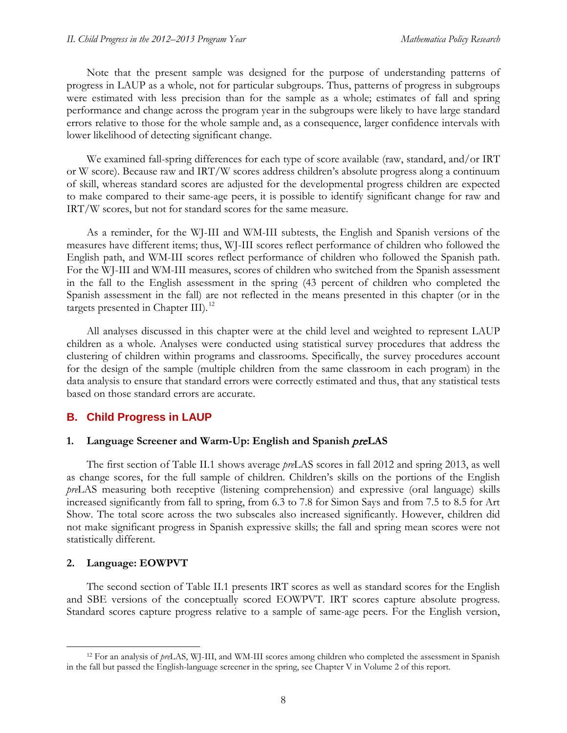Note that the present sample was designed for the purpose of understanding patterns of progress in LAUP as a whole, not for particular subgroups. Thus, patterns of progress in subgroups were estimated with less precision than for the sample as a whole; estimates of fall and spring performance and change across the program year in the subgroups were likely to have large standard errors relative to those for the whole sample and, as a consequence, larger confidence intervals with lower likelihood of detecting significant change.

We examined fall-spring differences for each type of score available (raw, standard, and/or IRT or W score). Because raw and IRT/W scores address children's absolute progress along a continuum of skill, whereas standard scores are adjusted for the developmental progress children are expected to make compared to their same-age peers, it is possible to identify significant change for raw and IRT/W scores, but not for standard scores for the same measure.

As a reminder, for the WJ-III and WM-III subtests, the English and Spanish versions of the measures have different items; thus, WJ-III scores reflect performance of children who followed the English path, and WM-III scores reflect performance of children who followed the Spanish path. For the WJ-III and WM-III measures, scores of children who switched from the Spanish assessment in the fall to the English assessment in the spring (43 percent of children who completed the Spanish assessment in the fall) are not reflected in the means presented in this chapter (or in the targets presented in Chapter III).<sup>[12](#page-27-0)</sup>

All analyses discussed in this chapter were at the child level and weighted to represent LAUP children as a whole. Analyses were conducted using statistical survey procedures that address the clustering of children within programs and classrooms. Specifically, the survey procedures account for the design of the sample (multiple children from the same classroom in each program) in the data analysis to ensure that standard errors were correctly estimated and thus, that any statistical tests based on those standard errors are accurate.

### **B. Child Progress in LAUP**

### **1. Language Screener and Warm-Up: English and Spanish** pre**LAS**

The first section of Table II.1 shows average *pre*LAS scores in fall 2012 and spring 2013, as well as change scores, for the full sample of children. Children's skills on the portions of the English *pre*LAS measuring both receptive (listening comprehension) and expressive (oral language) skills increased significantly from fall to spring, from 6.3 to 7.8 for Simon Says and from 7.5 to 8.5 for Art Show. The total score across the two subscales also increased significantly. However, children did not make significant progress in Spanish expressive skills; the fall and spring mean scores were not statistically different.

### **2. Language: EOWPVT**

The second section of Table II.1 presents IRT scores as well as standard scores for the English and SBE versions of the conceptually scored EOWPVT. IRT scores capture absolute progress. Standard scores capture progress relative to a sample of same-age peers. For the English version,

<span id="page-27-0"></span> <sup>12</sup> For an analysis of *pre*LAS, WJ-III, and WM-III scores among children who completed the assessment in Spanish in the fall but passed the English-language screener in the spring, see Chapter V in Volume 2 of this report.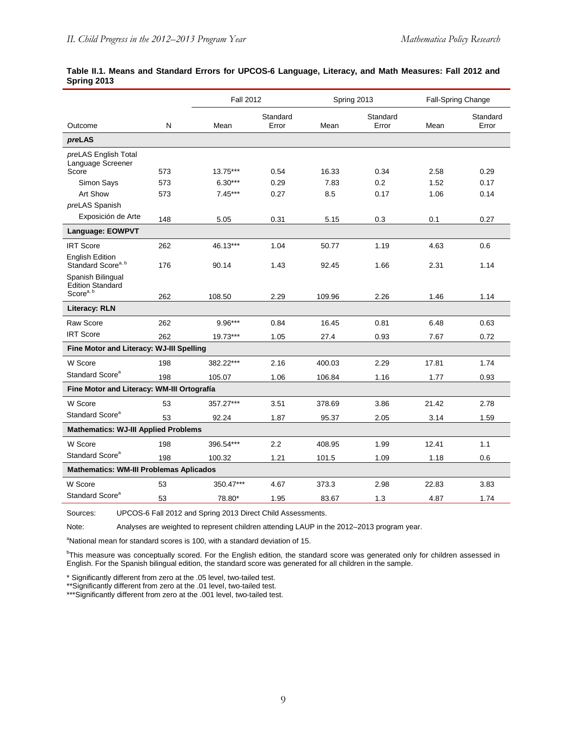|                                                                       | <b>Fall 2012</b><br>Spring 2013 |           |                   | Fall-Spring Change |                   |       |                   |
|-----------------------------------------------------------------------|---------------------------------|-----------|-------------------|--------------------|-------------------|-------|-------------------|
| Outcome                                                               | $\mathsf{N}$                    | Mean      | Standard<br>Error | Mean               | Standard<br>Error | Mean  | Standard<br>Error |
| preLAS                                                                |                                 |           |                   |                    |                   |       |                   |
| preLAS English Total<br>Language Screener                             |                                 |           |                   |                    |                   |       |                   |
| Score                                                                 | 573                             | 13.75***  | 0.54              | 16.33              | 0.34              | 2.58  | 0.29              |
| Simon Says                                                            | 573                             | $6.30***$ | 0.29              | 7.83               | 0.2               | 1.52  | 0.17              |
| Art Show                                                              | 573                             | $7.45***$ | 0.27              | 8.5                | 0.17              | 1.06  | 0.14              |
| preLAS Spanish                                                        |                                 |           |                   |                    |                   |       |                   |
| Exposición de Arte                                                    | 148                             | 5.05      | 0.31              | 5.15               | 0.3               | 0.1   | 0.27              |
| Language: EOWPVT                                                      |                                 |           |                   |                    |                   |       |                   |
| <b>IRT Score</b>                                                      | 262                             | 46.13***  | 1.04              | 50.77              | 1.19              | 4.63  | 0.6               |
| <b>English Edition</b><br>Standard Score <sup>a, b</sup>              | 176                             | 90.14     | 1.43              | 92.45              | 1.66              | 2.31  | 1.14              |
| Spanish Bilingual<br><b>Edition Standard</b><br>Score <sup>a, b</sup> | 262                             | 108.50    | 2.29              | 109.96             | 2.26              | 1.46  | 1.14              |
| <b>Literacy: RLN</b>                                                  |                                 |           |                   |                    |                   |       |                   |
| Raw Score                                                             | 262                             | $9.96***$ | 0.84              | 16.45              | 0.81              | 6.48  | 0.63              |
| <b>IRT Score</b>                                                      | 262                             | 19.73***  | 1.05              | 27.4               | 0.93              | 7.67  | 0.72              |
| Fine Motor and Literacy: WJ-III Spelling                              |                                 |           |                   |                    |                   |       |                   |
| W Score                                                               | 198                             | 382.22*** | 2.16              | 400.03             | 2.29              | 17.81 | 1.74              |
| Standard Score <sup>a</sup>                                           | 198                             | 105.07    | 1.06              | 106.84             | 1.16              | 1.77  | 0.93              |
| Fine Motor and Literacy: WM-III Ortografía                            |                                 |           |                   |                    |                   |       |                   |
| W Score                                                               | 53                              | 357.27*** | 3.51              | 378.69             | 3.86              | 21.42 | 2.78              |
| Standard Score <sup>a</sup>                                           | 53                              | 92.24     | 1.87              | 95.37              | 2.05              | 3.14  | 1.59              |
| <b>Mathematics: WJ-III Applied Problems</b>                           |                                 |           |                   |                    |                   |       |                   |
| W Score                                                               | 198                             | 396.54*** | 2.2               | 408.95             | 1.99              | 12.41 | 1.1               |
| Standard Score <sup>a</sup>                                           | 198                             | 100.32    | 1.21              | 101.5              | 1.09              | 1.18  | 0.6               |
| <b>Mathematics: WM-III Problemas Aplicados</b>                        |                                 |           |                   |                    |                   |       |                   |
| W Score                                                               | 53                              | 350.47*** | 4.67              | 373.3              | 2.98              | 22.83 | 3.83              |
| Standard Score <sup>a</sup>                                           | 53                              | 78.80*    | 1.95              | 83.67              | 1.3               | 4.87  | 1.74              |

#### **Table II.1. Means and Standard Errors for UPCOS-6 Language, Literacy, and Math Measures: Fall 2012 and Spring 2013**

Sources: UPCOS-6 Fall 2012 and Spring 2013 Direct Child Assessments.

Note: Analyses are weighted to represent children attending LAUP in the 2012–2013 program year.

<sup>a</sup>National mean for standard scores is 100, with a standard deviation of 15.

b This measure was conceptually scored. For the English edition, the standard score was generated only for children assessed in English. For the Spanish bilingual edition, the standard score was generated for all children in the sample.

\* Significantly different from zero at the .05 level, two-tailed test.

\*\*Significantly different from zero at the .01 level, two-tailed test.

\*\*\*Significantly different from zero at the .001 level, two-tailed test.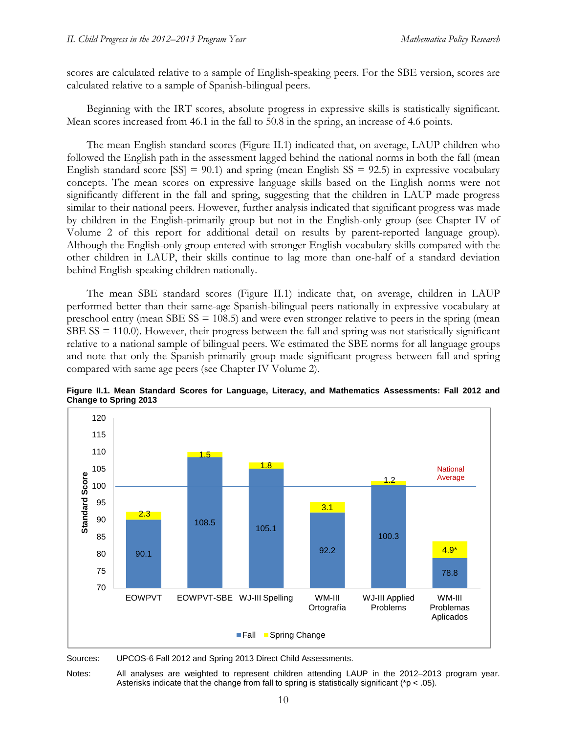scores are calculated relative to a sample of English-speaking peers. For the SBE version, scores are calculated relative to a sample of Spanish-bilingual peers.

Beginning with the IRT scores, absolute progress in expressive skills is statistically significant. Mean scores increased from 46.1 in the fall to 50.8 in the spring, an increase of 4.6 points.

The mean English standard scores (Figure II.1) indicated that, on average, LAUP children who followed the English path in the assessment lagged behind the national norms in both the fall (mean English standard score  $[SS] = 90.1$ ) and spring (mean English  $SS = 92.5$ ) in expressive vocabulary concepts. The mean scores on expressive language skills based on the English norms were not significantly different in the fall and spring, suggesting that the children in LAUP made progress similar to their national peers. However, further analysis indicated that significant progress was made by children in the English-primarily group but not in the English-only group (see Chapter IV of Volume 2 of this report for additional detail on results by parent-reported language group). Although the English-only group entered with stronger English vocabulary skills compared with the other children in LAUP, their skills continue to lag more than one-half of a standard deviation behind English-speaking children nationally.

The mean SBE standard scores (Figure II.1) indicate that, on average, children in LAUP performed better than their same-age Spanish-bilingual peers nationally in expressive vocabulary at preschool entry (mean SBE  $SS = 108.5$ ) and were even stronger relative to peers in the spring (mean  $SBE SS = 110.0$ ). However, their progress between the fall and spring was not statistically significant relative to a national sample of bilingual peers. We estimated the SBE norms for all language groups and note that only the Spanish-primarily group made significant progress between fall and spring compared with same age peers (see Chapter IV Volume 2).



**Figure II.1. Mean Standard Scores for Language, Literacy, and Mathematics Assessments: Fall 2012 and Change to Spring 2013**

Sources: UPCOS-6 Fall 2012 and Spring 2013 Direct Child Assessments.

Notes: All analyses are weighted to represent children attending LAUP in the 2012–2013 program year. Asterisks indicate that the change from fall to spring is statistically significant ( $p < .05$ ).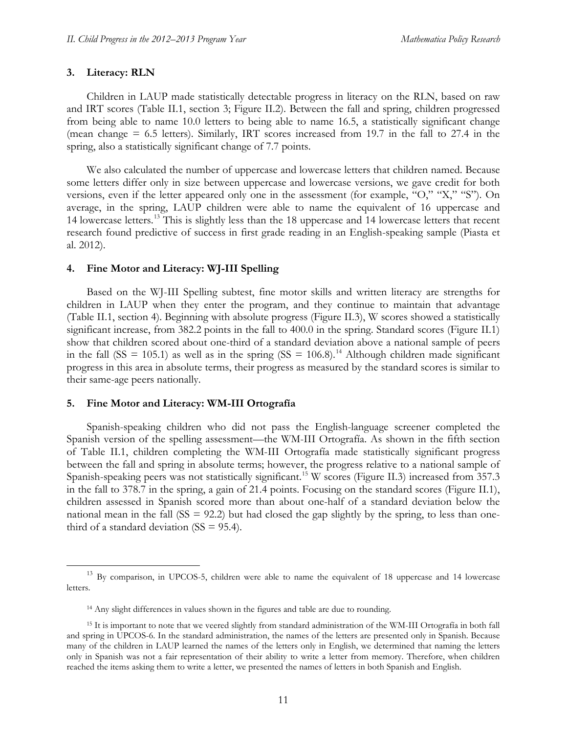### **3. Literacy: RLN**

Children in LAUP made statistically detectable progress in literacy on the RLN, based on raw and IRT scores (Table II.1, section 3; Figure II.2). Between the fall and spring, children progressed from being able to name 10.0 letters to being able to name 16.5, a statistically significant change (mean change = 6.5 letters). Similarly, IRT scores increased from 19.7 in the fall to 27.4 in the spring, also a statistically significant change of 7.7 points.

We also calculated the number of uppercase and lowercase letters that children named. Because some letters differ only in size between uppercase and lowercase versions, we gave credit for both versions, even if the letter appeared only one in the assessment (for example, "O," "X," "S"). On average, in the spring, LAUP children were able to name the equivalent of 16 uppercase and 14 lowercase letters.<sup>[13](#page-30-0)</sup> This is slightly less than the 18 uppercase and 14 lowercase letters that recent research found predictive of success in first grade reading in an English-speaking sample (Piasta et al. 2012).

#### **4. Fine Motor and Literacy: WJ-III Spelling**

Based on the WJ-III Spelling subtest, fine motor skills and written literacy are strengths for children in LAUP when they enter the program, and they continue to maintain that advantage (Table II.1, section 4). Beginning with absolute progress (Figure II.3), W scores showed a statistically significant increase, from 382.2 points in the fall to 400.0 in the spring. Standard scores (Figure II.1) show that children scored about one-third of a standard deviation above a national sample of peers in the fall (SS = 105.1) as well as in the spring (SS = 106.8).<sup>[14](#page-30-1)</sup> Although children made significant progress in this area in absolute terms, their progress as measured by the standard scores is similar to their same-age peers nationally.

#### **5. Fine Motor and Literacy: WM-III Ortografía**

Spanish-speaking children who did not pass the English-language screener completed the Spanish version of the spelling assessment—the WM-III Ortografía. As shown in the fifth section of Table II.1, children completing the WM-III Ortografía made statistically significant progress between the fall and spring in absolute terms; however, the progress relative to a national sample of Spanish-speaking peers was not statistically significant.<sup>[15](#page-30-2)</sup> W scores (Figure II.3) increased from 357.3 in the fall to 378.7 in the spring, a gain of 21.4 points. Focusing on the standard scores (Figure II.1), children assessed in Spanish scored more than about one-half of a standard deviation below the national mean in the fall  $(SS = 92.2)$  but had closed the gap slightly by the spring, to less than onethird of a standard deviation  $(SS = 95.4)$ .

<span id="page-30-0"></span><sup>&</sup>lt;sup>13</sup> By comparison, in UPCOS-5, children were able to name the equivalent of 18 uppercase and 14 lowercase letters.

<sup>&</sup>lt;sup>14</sup> Any slight differences in values shown in the figures and table are due to rounding.

<span id="page-30-2"></span><span id="page-30-1"></span><sup>&</sup>lt;sup>15</sup> It is important to note that we veered slightly from standard administration of the WM-III Ortografía in both fall and spring in UPCOS-6. In the standard administration, the names of the letters are presented only in Spanish. Because many of the children in LAUP learned the names of the letters only in English, we determined that naming the letters only in Spanish was not a fair representation of their ability to write a letter from memory. Therefore, when children reached the items asking them to write a letter, we presented the names of letters in both Spanish and English.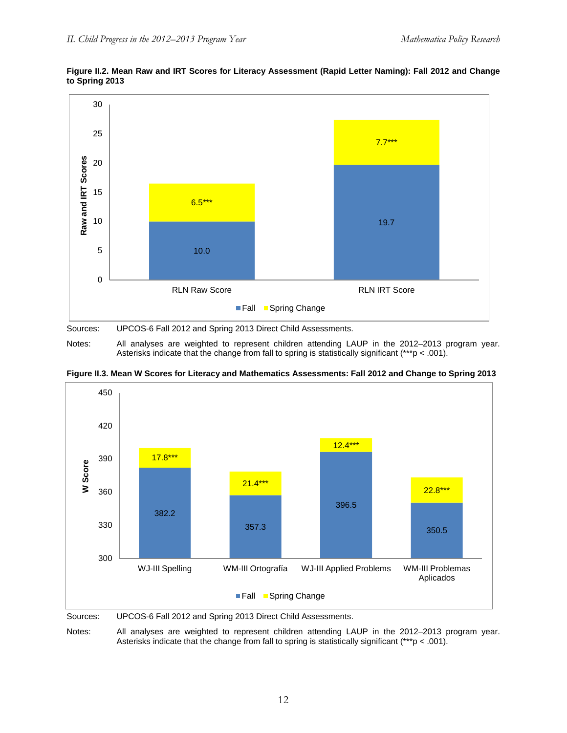

### **Figure II.2. Mean Raw and IRT Scores for Literacy Assessment (Rapid Letter Naming): Fall 2012 and Change to Spring 2013**

Sources: UPCOS-6 Fall 2012 and Spring 2013 Direct Child Assessments.

Notes: All analyses are weighted to represent children attending LAUP in the 2012–2013 program year. Asterisks indicate that the change from fall to spring is statistically significant (\*\*\*p < .001).





Notes: All analyses are weighted to represent children attending LAUP in the 2012–2013 program year. Asterisks indicate that the change from fall to spring is statistically significant (\*\*\*p < .001).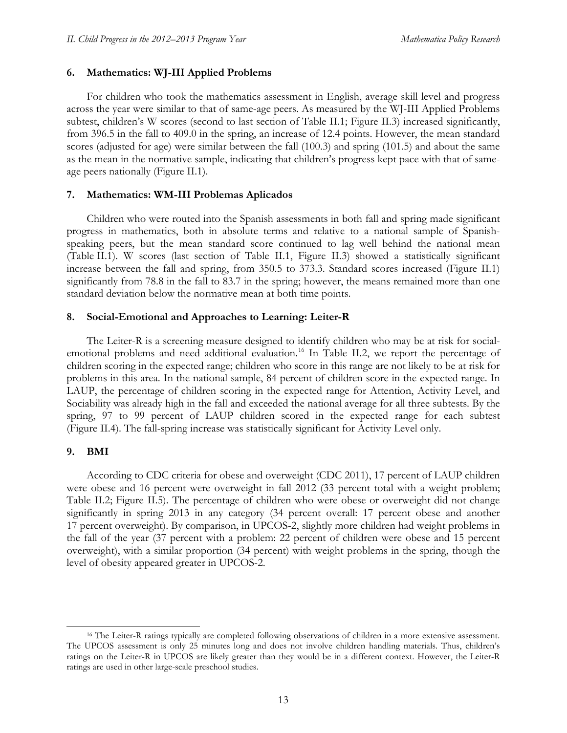### **6. Mathematics: WJ-III Applied Problems**

For children who took the mathematics assessment in English, average skill level and progress across the year were similar to that of same-age peers. As measured by the WJ-III Applied Problems subtest, children's W scores (second to last section of Table II.1; Figure II.3) increased significantly, from 396.5 in the fall to 409.0 in the spring, an increase of 12.4 points. However, the mean standard scores (adjusted for age) were similar between the fall (100.3) and spring (101.5) and about the same as the mean in the normative sample, indicating that children's progress kept pace with that of sameage peers nationally (Figure II.1).

#### **7. Mathematics: WM-III Problemas Aplicados**

Children who were routed into the Spanish assessments in both fall and spring made significant progress in mathematics, both in absolute terms and relative to a national sample of Spanishspeaking peers, but the mean standard score continued to lag well behind the national mean (Table II.1). W scores (last section of Table II.1, Figure II.3) showed a statistically significant increase between the fall and spring, from 350.5 to 373.3. Standard scores increased (Figure II.1) significantly from 78.8 in the fall to 83.7 in the spring; however, the means remained more than one standard deviation below the normative mean at both time points.

### **8. Social-Emotional and Approaches to Learning: Leiter-R**

The Leiter-R is a screening measure designed to identify children who may be at risk for social-emotional problems and need additional evaluation.<sup>[16](#page-32-0)</sup> In Table II.2, we report the percentage of children scoring in the expected range; children who score in this range are not likely to be at risk for problems in this area. In the national sample, 84 percent of children score in the expected range. In LAUP, the percentage of children scoring in the expected range for Attention, Activity Level, and Sociability was already high in the fall and exceeded the national average for all three subtests. By the spring, 97 to 99 percent of LAUP children scored in the expected range for each subtest (Figure II.4). The fall-spring increase was statistically significant for Activity Level only.

#### **9. BMI**

According to CDC criteria for obese and overweight (CDC 2011), 17 percent of LAUP children were obese and 16 percent were overweight in fall 2012 (33 percent total with a weight problem; Table II.2; Figure II.5). The percentage of children who were obese or overweight did not change significantly in spring 2013 in any category (34 percent overall: 17 percent obese and another 17 percent overweight). By comparison, in UPCOS-2, slightly more children had weight problems in the fall of the year (37 percent with a problem: 22 percent of children were obese and 15 percent overweight), with a similar proportion (34 percent) with weight problems in the spring, though the level of obesity appeared greater in UPCOS-2.

<span id="page-32-0"></span><sup>&</sup>lt;sup>16</sup> The Leiter-R ratings typically are completed following observations of children in a more extensive assessment. The UPCOS assessment is only 25 minutes long and does not involve children handling materials. Thus, children's ratings on the Leiter-R in UPCOS are likely greater than they would be in a different context. However, the Leiter-R ratings are used in other large-scale preschool studies.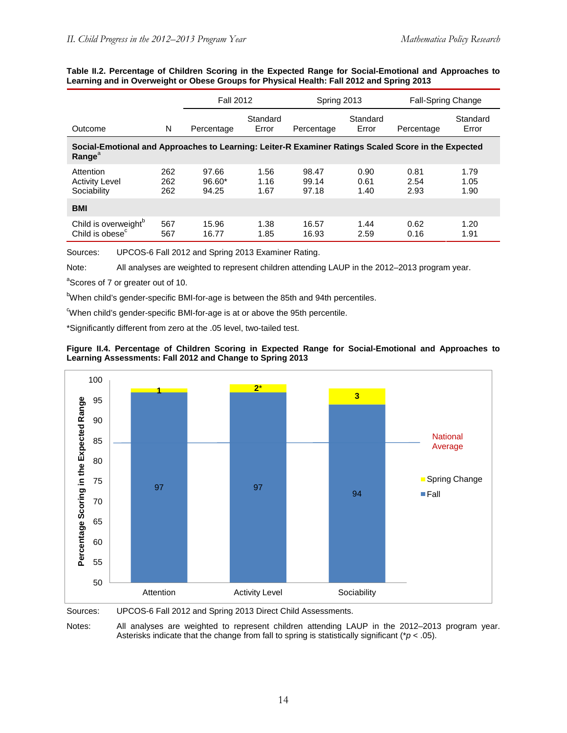|                                                                                                                                  |                   | <b>Fall 2012</b>           |                      | Spring 2013             |                      | <b>Fall-Spring Change</b> |                      |
|----------------------------------------------------------------------------------------------------------------------------------|-------------------|----------------------------|----------------------|-------------------------|----------------------|---------------------------|----------------------|
| Outcome                                                                                                                          | N                 | Percentage                 | Standard<br>Error    | Percentage              | Standard<br>Error    | Percentage                | Standard<br>Error    |
| Social-Emotional and Approaches to Learning: Leiter-R Examiner Ratings Scaled Score in the Expected<br><b>Range</b> <sup>a</sup> |                   |                            |                      |                         |                      |                           |                      |
| Attention<br><b>Activity Level</b><br>Sociability                                                                                | 262<br>262<br>262 | 97.66<br>$96.60*$<br>94.25 | 1.56<br>1.16<br>1.67 | 98.47<br>99.14<br>97.18 | 0.90<br>0.61<br>1.40 | 0.81<br>2.54<br>2.93      | 1.79<br>1.05<br>1.90 |
| <b>BMI</b>                                                                                                                       |                   |                            |                      |                         |                      |                           |                      |
| Child is overweight <sup>b</sup><br>Child is obese <sup>c</sup>                                                                  | 567<br>567        | 15.96<br>16.77             | 1.38<br>1.85         | 16.57<br>16.93          | 1.44<br>2.59         | 0.62<br>0.16              | 1.20<br>1.91         |

#### **Table II.2. Percentage of Children Scoring in the Expected Range for Social-Emotional and Approaches to Learning and in Overweight or Obese Groups for Physical Health: Fall 2012 and Spring 2013**

Sources: UPCOS-6 Fall 2012 and Spring 2013 Examiner Rating.

Note: All analyses are weighted to represent children attending LAUP in the 2012–2013 program year.

<sup>a</sup>Scores of 7 or greater out of 10.

<sup>b</sup>When child's gender-specific BMI-for-age is between the 85th and 94th percentiles.

When child's gender-specific BMI-for-age is at or above the 95th percentile.

\*Significantly different from zero at the .05 level, two-tailed test.





Sources: UPCOS-6 Fall 2012 and Spring 2013 Direct Child Assessments.

Notes: All analyses are weighted to represent children attending LAUP in the 2012–2013 program year. Asterisks indicate that the change from fall to spring is statistically significant (\**p* < .05).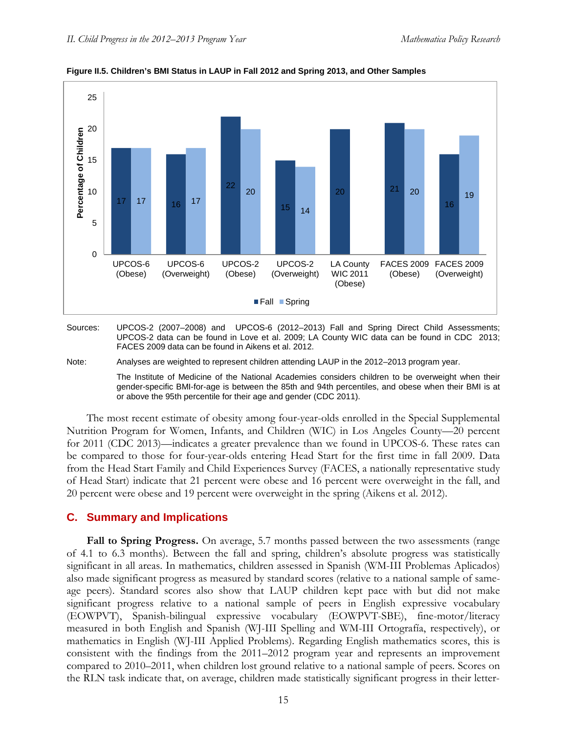

**Figure II.5. Children's BMI Status in LAUP in Fall 2012 and Spring 2013, and Other Samples**

Sources: UPCOS-2 (2007–2008) and UPCOS-6 (2012–2013) Fall and Spring Direct Child Assessments; UPCOS-2 data can be found in Love et al. 2009; LA County WIC data can be found in CDC 2013; FACES 2009 data can be found in Aikens et al. 2012.

#### Note: Analyses are weighted to represent children attending LAUP in the 2012–2013 program year.

The Institute of Medicine of the National Academies considers children to be overweight when their gender-specific BMI-for-age is between the 85th and 94th percentiles, and obese when their BMI is at or above the 95th percentile for their age and gender (CDC 2011).

The most recent estimate of obesity among four-year-olds enrolled in the Special Supplemental Nutrition Program for Women, Infants, and Children (WIC) in Los Angeles County—20 percent for 2011 (CDC 2013)—indicates a greater prevalence than we found in UPCOS-6. These rates can be compared to those for four-year-olds entering Head Start for the first time in fall 2009. Data from the Head Start Family and Child Experiences Survey (FACES, a nationally representative study of Head Start) indicate that 21 percent were obese and 16 percent were overweight in the fall, and 20 percent were obese and 19 percent were overweight in the spring (Aikens et al. 2012).

### **C. Summary and Implications**

**Fall to Spring Progress.** On average, 5.7 months passed between the two assessments (range of 4.1 to 6.3 months). Between the fall and spring, children's absolute progress was statistically significant in all areas. In mathematics, children assessed in Spanish (WM-III Problemas Aplicados) also made significant progress as measured by standard scores (relative to a national sample of sameage peers). Standard scores also show that LAUP children kept pace with but did not make significant progress relative to a national sample of peers in English expressive vocabulary (EOWPVT), Spanish-bilingual expressive vocabulary (EOWPVT-SBE), fine-motor/literacy measured in both English and Spanish (WJ-III Spelling and WM-III Ortografía, respectively), or mathematics in English (WJ-III Applied Problems). Regarding English mathematics scores, this is consistent with the findings from the 2011–2012 program year and represents an improvement compared to 2010–2011, when children lost ground relative to a national sample of peers. Scores on the RLN task indicate that, on average, children made statistically significant progress in their letter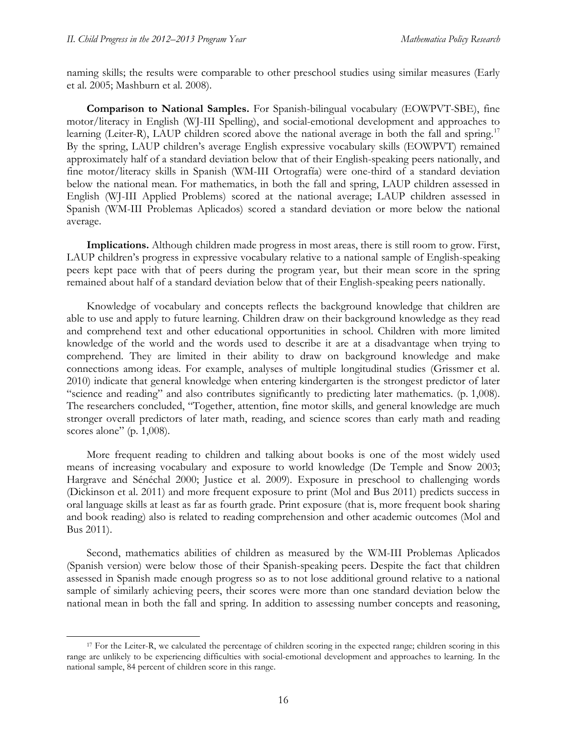naming skills; the results were comparable to other preschool studies using similar measures (Early et al. 2005; Mashburn et al. 2008).

**Comparison to National Samples.** For Spanish-bilingual vocabulary (EOWPVT-SBE), fine motor/literacy in English (WJ-III Spelling), and social-emotional development and approaches to learning (Leiter-R), LAUP children scored above the national average in both the fall and spring.<sup>[17](#page-35-0)</sup> By the spring, LAUP children's average English expressive vocabulary skills (EOWPVT) remained approximately half of a standard deviation below that of their English-speaking peers nationally, and fine motor/literacy skills in Spanish (WM-III Ortografía) were one-third of a standard deviation below the national mean. For mathematics, in both the fall and spring, LAUP children assessed in English (WJ-III Applied Problems) scored at the national average; LAUP children assessed in Spanish (WM-III Problemas Aplicados) scored a standard deviation or more below the national average.

**Implications.** Although children made progress in most areas, there is still room to grow. First, LAUP children's progress in expressive vocabulary relative to a national sample of English-speaking peers kept pace with that of peers during the program year, but their mean score in the spring remained about half of a standard deviation below that of their English-speaking peers nationally.

Knowledge of vocabulary and concepts reflects the background knowledge that children are able to use and apply to future learning. Children draw on their background knowledge as they read and comprehend text and other educational opportunities in school. Children with more limited knowledge of the world and the words used to describe it are at a disadvantage when trying to comprehend. They are limited in their ability to draw on background knowledge and make connections among ideas. For example, analyses of multiple longitudinal studies (Grissmer et al. 2010) indicate that general knowledge when entering kindergarten is the strongest predictor of later "science and reading" and also contributes significantly to predicting later mathematics. (p. 1,008). The researchers concluded, "Together, attention, fine motor skills, and general knowledge are much stronger overall predictors of later math, reading, and science scores than early math and reading scores alone" (p. 1,008).

More frequent reading to children and talking about books is one of the most widely used means of increasing vocabulary and exposure to world knowledge (De Temple and Snow 2003; Hargrave and Sénéchal 2000; Justice et al. 2009). Exposure in preschool to challenging words (Dickinson et al. 2011) and more frequent exposure to print (Mol and Bus 2011) predicts success in oral language skills at least as far as fourth grade. Print exposure (that is, more frequent book sharing and book reading) also is related to reading comprehension and other academic outcomes (Mol and Bus 2011).

Second, mathematics abilities of children as measured by the WM-III Problemas Aplicados (Spanish version) were below those of their Spanish-speaking peers. Despite the fact that children assessed in Spanish made enough progress so as to not lose additional ground relative to a national sample of similarly achieving peers, their scores were more than one standard deviation below the national mean in both the fall and spring. In addition to assessing number concepts and reasoning,

<span id="page-35-0"></span><sup>&</sup>lt;sup>17</sup> For the Leiter-R, we calculated the percentage of children scoring in the expected range; children scoring in this range are unlikely to be experiencing difficulties with social-emotional development and approaches to learning. In the national sample, 84 percent of children score in this range.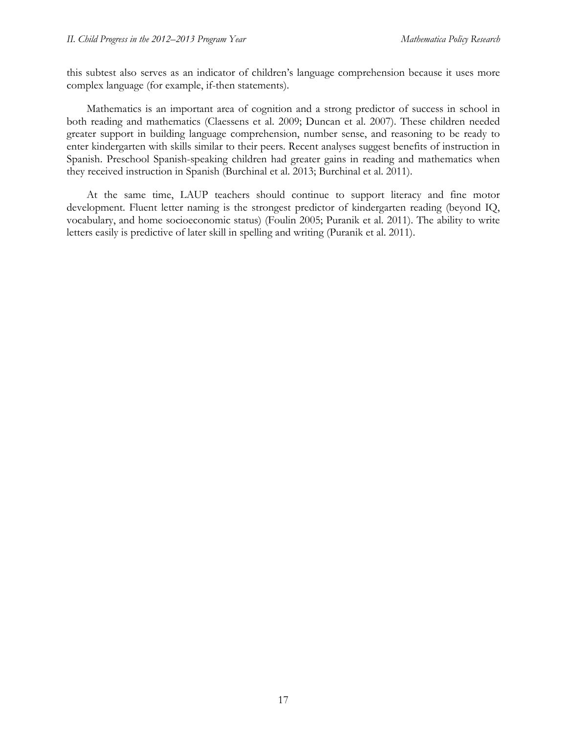this subtest also serves as an indicator of children's language comprehension because it uses more complex language (for example, if-then statements).

Mathematics is an important area of cognition and a strong predictor of success in school in both reading and mathematics (Claessens et al. 2009; Duncan et al. 2007). These children needed greater support in building language comprehension, number sense, and reasoning to be ready to enter kindergarten with skills similar to their peers. Recent analyses suggest benefits of instruction in Spanish. Preschool Spanish-speaking children had greater gains in reading and mathematics when they received instruction in Spanish (Burchinal et al. 2013; Burchinal et al. 2011).

At the same time, LAUP teachers should continue to support literacy and fine motor development. Fluent letter naming is the strongest predictor of kindergarten reading (beyond IQ, vocabulary, and home socioeconomic status) (Foulin 2005; Puranik et al. 2011). The ability to write letters easily is predictive of later skill in spelling and writing (Puranik et al. 2011).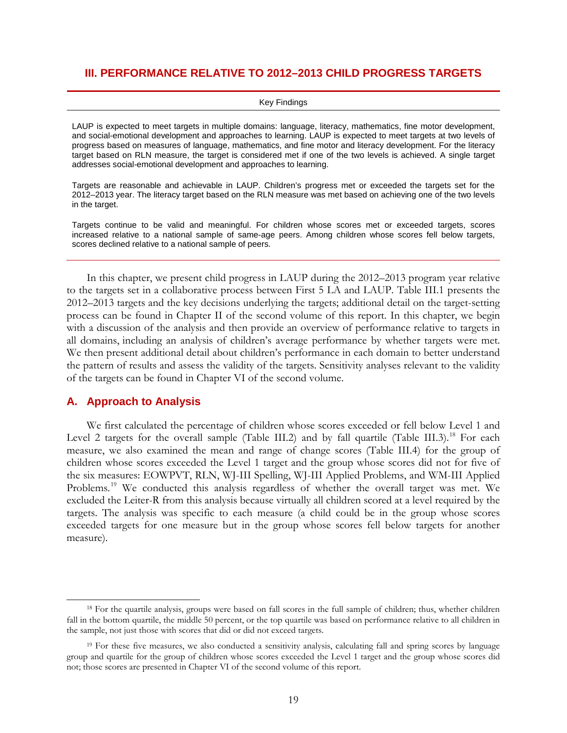## **III. PERFORMANCE RELATIVE TO 2012–2013 CHILD PROGRESS TARGETS**

#### Key Findings

LAUP is expected to meet targets in multiple domains: language, literacy, mathematics, fine motor development, and social-emotional development and approaches to learning. LAUP is expected to meet targets at two levels of progress based on measures of language, mathematics, and fine motor and literacy development. For the literacy target based on RLN measure, the target is considered met if one of the two levels is achieved. A single target addresses social-emotional development and approaches to learning.

Targets are reasonable and achievable in LAUP. Children's progress met or exceeded the targets set for the 2012–2013 year. The literacy target based on the RLN measure was met based on achieving one of the two levels in the target.

Targets continue to be valid and meaningful. For children whose scores met or exceeded targets, scores increased relative to a national sample of same-age peers. Among children whose scores fell below targets, scores declined relative to a national sample of peers.

In this chapter, we present child progress in LAUP during the 2012–2013 program year relative to the targets set in a collaborative process between First 5 LA and LAUP. Table III.1 presents the 2012–2013 targets and the key decisions underlying the targets; additional detail on the target-setting process can be found in Chapter II of the second volume of this report. In this chapter, we begin with a discussion of the analysis and then provide an overview of performance relative to targets in all domains, including an analysis of children's average performance by whether targets were met. We then present additional detail about children's performance in each domain to better understand the pattern of results and assess the validity of the targets. Sensitivity analyses relevant to the validity of the targets can be found in Chapter VI of the second volume.

### **A. Approach to Analysis**

We first calculated the percentage of children whose scores exceeded or fell below Level 1 and Level 2 targets for the overall sample (Table III.2) and by fall quartile (Table III.3).<sup>[18](#page-38-0)</sup> For each measure, we also examined the mean and range of change scores (Table III.4) for the group of children whose scores exceeded the Level 1 target and the group whose scores did not for five of the six measures: EOWPVT, RLN, WJ-III Spelling, WJ-III Applied Problems, and WM-III Applied Problems.<sup>[19](#page-38-1)</sup> We conducted this analysis regardless of whether the overall target was met. We excluded the Leiter-R from this analysis because virtually all children scored at a level required by the targets. The analysis was specific to each measure (a child could be in the group whose scores exceeded targets for one measure but in the group whose scores fell below targets for another measure).

<span id="page-38-0"></span><sup>&</sup>lt;sup>18</sup> For the quartile analysis, groups were based on fall scores in the full sample of children; thus, whether children fall in the bottom quartile, the middle 50 percent, or the top quartile was based on performance relative to all children in the sample, not just those with scores that did or did not exceed targets.

<span id="page-38-1"></span> $19$  For these five measures, we also conducted a sensitivity analysis, calculating fall and spring scores by language group and quartile for the group of children whose scores exceeded the Level 1 target and the group whose scores did not; those scores are presented in Chapter VI of the second volume of this report.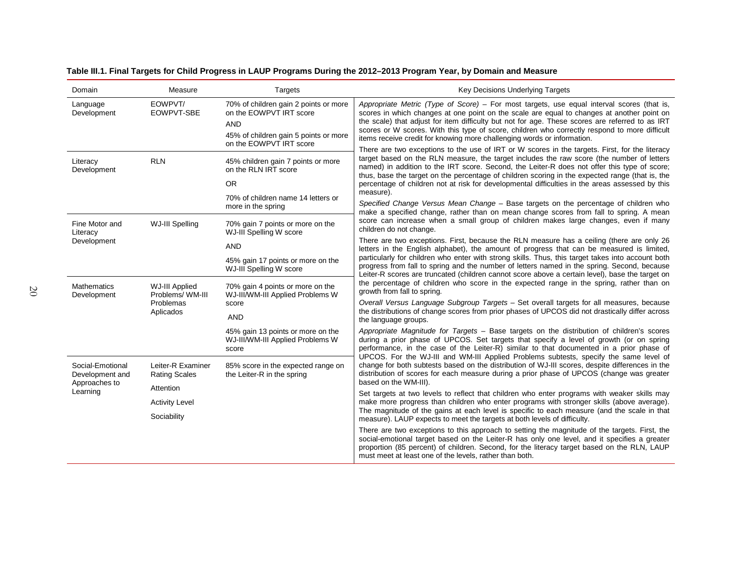|  |  | Table III.1. Final Targets for Child Progress in LAUP Programs During the 2012–2013 Program Year, by Domain and Measure |
|--|--|-------------------------------------------------------------------------------------------------------------------------|
|  |  |                                                                                                                         |

| Domain                              | Measure                                   | Targets                                                                                                                 | <b>Key Decisions Underlying Targets</b>                                                                                                                                                                                                                                                                                                                                                                                                                                 |
|-------------------------------------|-------------------------------------------|-------------------------------------------------------------------------------------------------------------------------|-------------------------------------------------------------------------------------------------------------------------------------------------------------------------------------------------------------------------------------------------------------------------------------------------------------------------------------------------------------------------------------------------------------------------------------------------------------------------|
| Language<br>Development             | EOWPVT/<br>EOWPVT-SBE                     | 70% of children gain 2 points or more<br>on the EOWPVT IRT score<br><b>AND</b><br>45% of children gain 5 points or more | Appropriate Metric (Type of Score) – For most targets, use equal interval scores (that is,<br>scores in which changes at one point on the scale are equal to changes at another point on<br>the scale) that adjust for item difficulty but not for age. These scores are referred to as IRT<br>scores or W scores. With this type of score, children who correctly respond to more difficult<br>items receive credit for knowing more challenging words or information. |
|                                     |                                           | on the EOWPVT IRT score                                                                                                 | There are two exceptions to the use of IRT or W scores in the targets. First, for the literacy                                                                                                                                                                                                                                                                                                                                                                          |
| Literacy<br>Development             | <b>RLN</b>                                | 45% children gain 7 points or more<br>on the RLN IRT score                                                              | target based on the RLN measure, the target includes the raw score (the number of letters<br>named) in addition to the IRT score. Second, the Leiter-R does not offer this type of score;<br>thus, base the target on the percentage of children scoring in the expected range (that is, the                                                                                                                                                                            |
|                                     |                                           | <b>OR</b>                                                                                                               | percentage of children not at risk for developmental difficulties in the areas assessed by this                                                                                                                                                                                                                                                                                                                                                                         |
|                                     |                                           | 70% of children name 14 letters or<br>more in the spring                                                                | measure).<br>Specified Change Versus Mean Change – Base targets on the percentage of children who                                                                                                                                                                                                                                                                                                                                                                       |
| Fine Motor and<br>Literacy          | WJ-III Spelling                           | 70% gain 7 points or more on the<br>WJ-III Spelling W score                                                             | make a specified change, rather than on mean change scores from fall to spring. A mean<br>score can increase when a small group of children makes large changes, even if many<br>children do not change.                                                                                                                                                                                                                                                                |
| Development                         |                                           | <b>AND</b>                                                                                                              | There are two exceptions. First, because the RLN measure has a ceiling (there are only 26<br>letters in the English alphabet), the amount of progress that can be measured is limited,                                                                                                                                                                                                                                                                                  |
|                                     |                                           | 45% gain 17 points or more on the<br>WJ-III Spelling W score                                                            | particularly for children who enter with strong skills. Thus, this target takes into account both<br>progress from fall to spring and the number of letters named in the spring. Second, because<br>Leiter-R scores are truncated (children cannot score above a certain level), base the target on                                                                                                                                                                     |
| <b>Mathematics</b><br>Development   | <b>WJ-III Applied</b><br>Problems/WM-III  | 70% gain 4 points or more on the<br>WJ-III/WM-III Applied Problems W                                                    | the percentage of children who score in the expected range in the spring, rather than on<br>growth from fall to spring.                                                                                                                                                                                                                                                                                                                                                 |
|                                     | Problemas<br>Aplicados                    | score                                                                                                                   | Overall Versus Language Subgroup Targets - Set overall targets for all measures, because<br>the distributions of change scores from prior phases of UPCOS did not drastically differ across                                                                                                                                                                                                                                                                             |
|                                     |                                           | <b>AND</b>                                                                                                              | the language groups.                                                                                                                                                                                                                                                                                                                                                                                                                                                    |
|                                     |                                           | 45% gain 13 points or more on the<br>WJ-III/WM-III Applied Problems W<br>score                                          | Appropriate Magnitude for Targets - Base targets on the distribution of children's scores<br>during a prior phase of UPCOS. Set targets that specify a level of growth (or on spring<br>performance, in the case of the Leiter-R) similar to that documented in a prior phase of                                                                                                                                                                                        |
| Social-Emotional<br>Development and | Leiter-R Examiner<br><b>Rating Scales</b> | 85% score in the expected range on<br>the Leiter-R in the spring                                                        | UPCOS. For the WJ-III and WM-III Applied Problems subtests, specify the same level of<br>change for both subtests based on the distribution of WJ-III scores, despite differences in the<br>distribution of scores for each measure during a prior phase of UPCOS (change was greater                                                                                                                                                                                   |
| Approaches to<br>Learning           | Attention                                 |                                                                                                                         | based on the WM-III).<br>Set targets at two levels to reflect that children who enter programs with weaker skills may                                                                                                                                                                                                                                                                                                                                                   |
|                                     | <b>Activity Level</b>                     |                                                                                                                         | make more progress than children who enter programs with stronger skills (above average).                                                                                                                                                                                                                                                                                                                                                                               |
|                                     | Sociability                               |                                                                                                                         | The magnitude of the gains at each level is specific to each measure (and the scale in that<br>measure). LAUP expects to meet the targets at both levels of difficulty.                                                                                                                                                                                                                                                                                                 |
|                                     |                                           |                                                                                                                         | There are two exceptions to this approach to setting the magnitude of the targets. First, the<br>social-emotional target based on the Leiter-R has only one level, and it specifies a greater<br>proportion (85 percent) of children. Second, for the literacy target based on the RLN, LAUP<br>must meet at least one of the levels, rather than both.                                                                                                                 |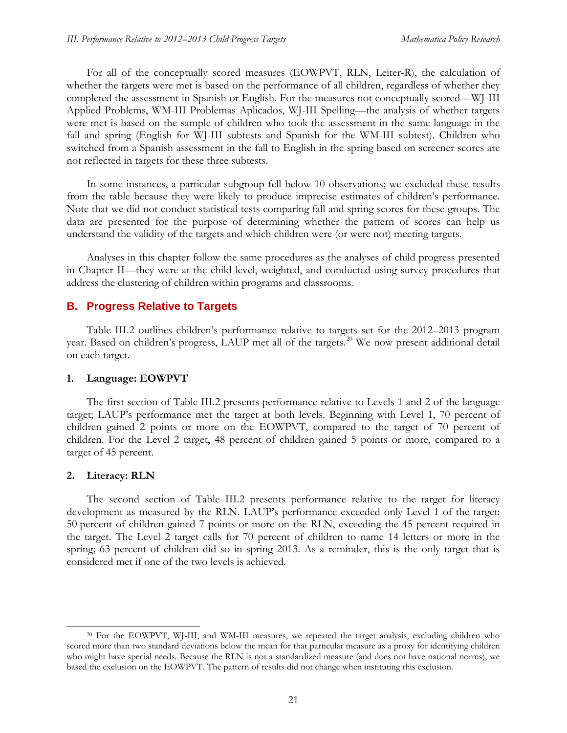For all of the conceptually scored measures (EOWPVT, RLN, Leiter-R), the calculation of whether the targets were met is based on the performance of all children, regardless of whether they completed the assessment in Spanish or English. For the measures not conceptually scored—WJ-III Applied Problems, WM-III Problemas Aplicados, WJ-III Spelling—the analysis of whether targets were met is based on the sample of children who took the assessment in the same language in the fall and spring (English for WJ-III subtests and Spanish for the WM-III subtest). Children who switched from a Spanish assessment in the fall to English in the spring based on screener scores are not reflected in targets for these three subtests.

In some instances, a particular subgroup fell below 10 observations; we excluded these results from the table because they were likely to produce imprecise estimates of children's performance. Note that we did not conduct statistical tests comparing fall and spring scores for these groups. The data are presented for the purpose of determining whether the pattern of scores can help us understand the validity of the targets and which children were (or were not) meeting targets.

Analyses in this chapter follow the same procedures as the analyses of child progress presented in Chapter II—they were at the child level, weighted, and conducted using survey procedures that address the clustering of children within programs and classrooms.

### **B. Progress Relative to Targets**

Table III.2 outlines children's performance relative to targets set for the 2012–2013 program year. Based on children's progress, LAUP met all of the targets.<sup>[20](#page-40-0)</sup> We now present additional detail on each target.

#### **1. Language: EOWPVT**

The first section of Table III.2 presents performance relative to Levels 1 and 2 of the language target; LAUP's performance met the target at both levels. Beginning with Level 1, 70 percent of children gained 2 points or more on the EOWPVT, compared to the target of 70 percent of children. For the Level 2 target, 48 percent of children gained 5 points or more, compared to a target of 45 percent.

### **2. Literacy: RLN**

The second section of Table III.2 presents performance relative to the target for literacy development as measured by the RLN. LAUP's performance exceeded only Level 1 of the target: 50 percent of children gained 7 points or more on the RLN, exceeding the 45 percent required in the target. The Level 2 target calls for 70 percent of children to name 14 letters or more in the spring; 63 percent of children did so in spring 2013. As a reminder, this is the only target that is considered met if one of the two levels is achieved.

<span id="page-40-0"></span> <sup>20</sup> For the EOWPVT, WJ-III, and WM-III measures, we repeated the target analysis, excluding children who scored more than two standard deviations below the mean for that particular measure as a proxy for identifying children who might have special needs. Because the RLN is not a standardized measure (and does not have national norms), we based the exclusion on the EOWPVT. The pattern of results did not change when instituting this exclusion.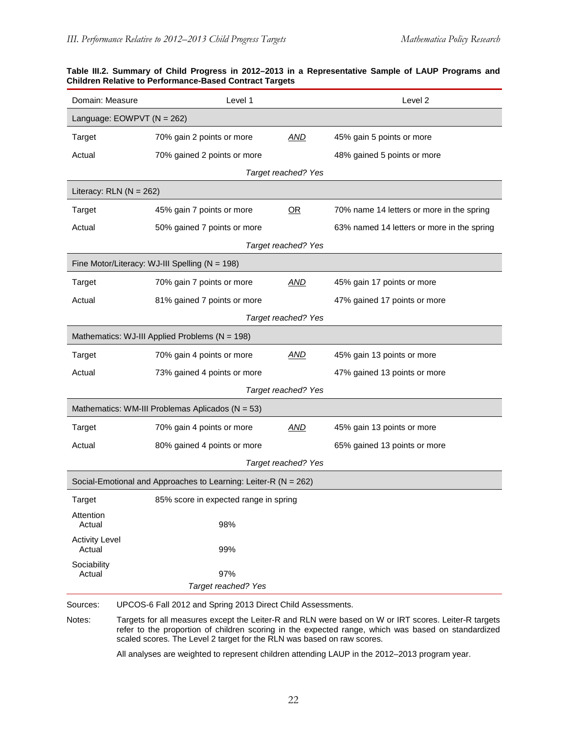| Domain: Measure                 | Level 1                                                         |                     | Level <sub>2</sub>                                                                                                                                                                                         |
|---------------------------------|-----------------------------------------------------------------|---------------------|------------------------------------------------------------------------------------------------------------------------------------------------------------------------------------------------------------|
| Language: $EOWPVT (N = 262)$    |                                                                 |                     |                                                                                                                                                                                                            |
| Target                          | 70% gain 2 points or more                                       | AND                 | 45% gain 5 points or more                                                                                                                                                                                  |
| Actual                          | 70% gained 2 points or more                                     |                     | 48% gained 5 points or more                                                                                                                                                                                |
|                                 |                                                                 | Target reached? Yes |                                                                                                                                                                                                            |
| Literacy: $RLN (N = 262)$       |                                                                 |                     |                                                                                                                                                                                                            |
| Target                          | 45% gain 7 points or more                                       | OR                  | 70% name 14 letters or more in the spring                                                                                                                                                                  |
| Actual                          | 50% gained 7 points or more                                     |                     | 63% named 14 letters or more in the spring                                                                                                                                                                 |
|                                 |                                                                 | Target reached? Yes |                                                                                                                                                                                                            |
|                                 | Fine Motor/Literacy: WJ-III Spelling (N = 198)                  |                     |                                                                                                                                                                                                            |
| Target                          | 70% gain 7 points or more                                       | AND                 | 45% gain 17 points or more                                                                                                                                                                                 |
| Actual                          | 81% gained 7 points or more                                     |                     | 47% gained 17 points or more                                                                                                                                                                               |
|                                 |                                                                 | Target reached? Yes |                                                                                                                                                                                                            |
|                                 | Mathematics: WJ-III Applied Problems (N = 198)                  |                     |                                                                                                                                                                                                            |
| Target                          | 70% gain 4 points or more                                       | AND                 | 45% gain 13 points or more                                                                                                                                                                                 |
| Actual                          | 73% gained 4 points or more                                     |                     | 47% gained 13 points or more                                                                                                                                                                               |
|                                 |                                                                 | Target reached? Yes |                                                                                                                                                                                                            |
|                                 | Mathematics: WM-III Problemas Aplicados (N = 53)                |                     |                                                                                                                                                                                                            |
| Target                          | 70% gain 4 points or more                                       | AND                 | 45% gain 13 points or more                                                                                                                                                                                 |
| Actual                          | 80% gained 4 points or more                                     |                     | 65% gained 13 points or more                                                                                                                                                                               |
|                                 |                                                                 | Target reached? Yes |                                                                                                                                                                                                            |
|                                 | Social-Emotional and Approaches to Learning: Leiter-R (N = 262) |                     |                                                                                                                                                                                                            |
| Target                          | 85% score in expected range in spring                           |                     |                                                                                                                                                                                                            |
| Attention<br>Actual             | 98%                                                             |                     |                                                                                                                                                                                                            |
| <b>Activity Level</b><br>Actual | 99%                                                             |                     |                                                                                                                                                                                                            |
| Sociability                     |                                                                 |                     |                                                                                                                                                                                                            |
| Actual                          | 97%<br>Target reached? Yes                                      |                     |                                                                                                                                                                                                            |
| Sources:                        | UPCOS-6 Fall 2012 and Spring 2013 Direct Child Assessments.     |                     |                                                                                                                                                                                                            |
| Notes:                          |                                                                 |                     | Targets for all measures except the Leiter-R and RLN were based on W or IRT scores. Leiter-R targets<br>refer to the proportion of children scoring in the expected range, which was based on standardized |

#### **Table III.2. Summary of Child Progress in 2012–2013 in a Representative Sample of LAUP Programs and Children Relative to Performance-Based Contract Targets**

All analyses are weighted to represent children attending LAUP in the 2012–2013 program year.

scaled scores. The Level 2 target for the RLN was based on raw scores.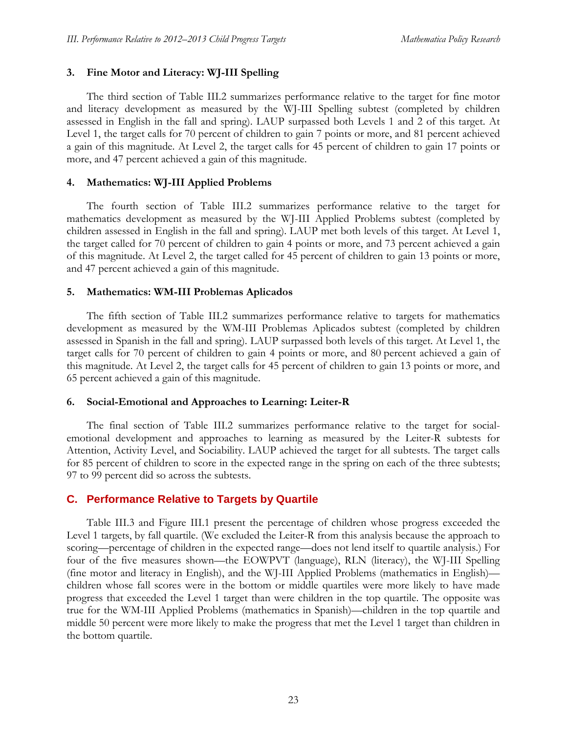## **3. Fine Motor and Literacy: WJ-III Spelling**

The third section of Table III.2 summarizes performance relative to the target for fine motor and literacy development as measured by the WJ-III Spelling subtest (completed by children assessed in English in the fall and spring). LAUP surpassed both Levels 1 and 2 of this target. At Level 1, the target calls for 70 percent of children to gain 7 points or more, and 81 percent achieved a gain of this magnitude. At Level 2, the target calls for 45 percent of children to gain 17 points or more, and 47 percent achieved a gain of this magnitude.

## **4. Mathematics: WJ-III Applied Problems**

The fourth section of Table III.2 summarizes performance relative to the target for mathematics development as measured by the WJ-III Applied Problems subtest (completed by children assessed in English in the fall and spring). LAUP met both levels of this target. At Level 1, the target called for 70 percent of children to gain 4 points or more, and 73 percent achieved a gain of this magnitude. At Level 2, the target called for 45 percent of children to gain 13 points or more, and 47 percent achieved a gain of this magnitude.

## **5. Mathematics: WM-III Problemas Aplicados**

The fifth section of Table III.2 summarizes performance relative to targets for mathematics development as measured by the WM-III Problemas Aplicados subtest (completed by children assessed in Spanish in the fall and spring). LAUP surpassed both levels of this target. At Level 1, the target calls for 70 percent of children to gain 4 points or more, and 80 percent achieved a gain of this magnitude. At Level 2, the target calls for 45 percent of children to gain 13 points or more, and 65 percent achieved a gain of this magnitude.

## **6. Social-Emotional and Approaches to Learning: Leiter-R**

The final section of Table III.2 summarizes performance relative to the target for socialemotional development and approaches to learning as measured by the Leiter-R subtests for Attention, Activity Level, and Sociability. LAUP achieved the target for all subtests. The target calls for 85 percent of children to score in the expected range in the spring on each of the three subtests; 97 to 99 percent did so across the subtests.

# **C. Performance Relative to Targets by Quartile**

Table III.3 and Figure III.1 present the percentage of children whose progress exceeded the Level 1 targets, by fall quartile. (We excluded the Leiter-R from this analysis because the approach to scoring—percentage of children in the expected range—does not lend itself to quartile analysis.) For four of the five measures shown—the EOWPVT (language), RLN (literacy), the WJ-III Spelling (fine motor and literacy in English), and the WJ-III Applied Problems (mathematics in English) children whose fall scores were in the bottom or middle quartiles were more likely to have made progress that exceeded the Level 1 target than were children in the top quartile. The opposite was true for the WM-III Applied Problems (mathematics in Spanish)—children in the top quartile and middle 50 percent were more likely to make the progress that met the Level 1 target than children in the bottom quartile.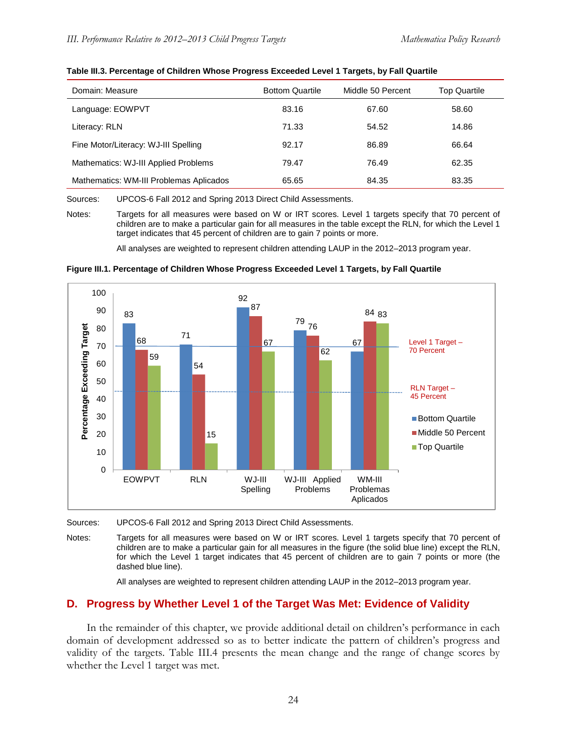| Domain: Measure                         | <b>Bottom Quartile</b> | Middle 50 Percent | <b>Top Quartile</b> |
|-----------------------------------------|------------------------|-------------------|---------------------|
| Language: EOWPVT                        | 83.16                  | 67.60             | 58.60               |
| Literacy: RLN                           | 71.33                  | 54.52             | 14.86               |
| Fine Motor/Literacy: WJ-III Spelling    | 92.17                  | 86.89             | 66.64               |
| Mathematics: WJ-III Applied Problems    | 79.47                  | 76.49             | 62.35               |
| Mathematics: WM-III Problemas Aplicados | 65.65                  | 84.35             | 83.35               |

| Table III.3. Percentage of Children Whose Progress Exceeded Level 1 Targets, by Fall Quartile |  |  |
|-----------------------------------------------------------------------------------------------|--|--|
|-----------------------------------------------------------------------------------------------|--|--|

Sources: UPCOS-6 Fall 2012 and Spring 2013 Direct Child Assessments.

Notes: Targets for all measures were based on W or IRT scores. Level 1 targets specify that 70 percent of children are to make a particular gain for all measures in the table except the RLN, for which the Level 1 target indicates that 45 percent of children are to gain 7 points or more.

All analyses are weighted to represent children attending LAUP in the 2012–2013 program year.



**Figure III.1. Percentage of Children Whose Progress Exceeded Level 1 Targets, by Fall Quartile**

Sources: UPCOS-6 Fall 2012 and Spring 2013 Direct Child Assessments.

Notes: Targets for all measures were based on W or IRT scores. Level 1 targets specify that 70 percent of children are to make a particular gain for all measures in the figure (the solid blue line) except the RLN, for which the Level 1 target indicates that 45 percent of children are to gain 7 points or more (the dashed blue line).

All analyses are weighted to represent children attending LAUP in the 2012–2013 program year.

## **D. Progress by Whether Level 1 of the Target Was Met: Evidence of Validity**

In the remainder of this chapter, we provide additional detail on children's performance in each domain of development addressed so as to better indicate the pattern of children's progress and validity of the targets. Table III.4 presents the mean change and the range of change scores by whether the Level 1 target was met.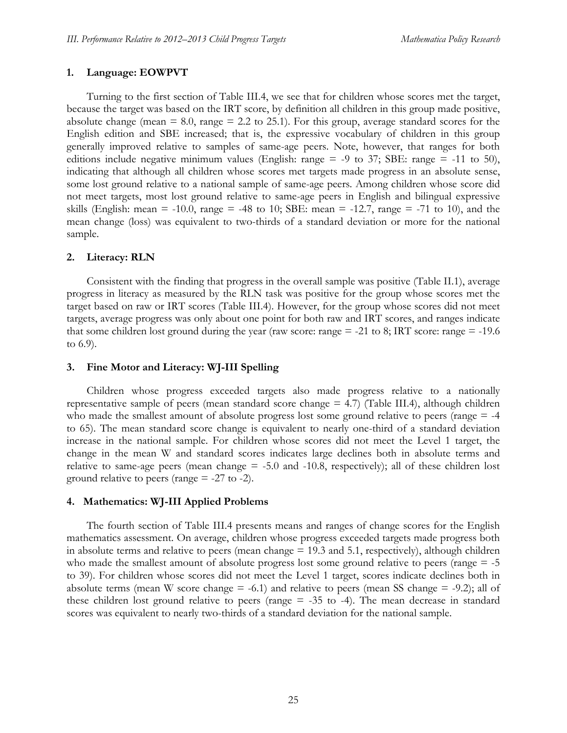## **1. Language: EOWPVT**

Turning to the first section of Table III.4, we see that for children whose scores met the target, because the target was based on the IRT score, by definition all children in this group made positive, absolute change (mean  $= 8.0$ , range  $= 2.2$  to 25.1). For this group, average standard scores for the English edition and SBE increased; that is, the expressive vocabulary of children in this group generally improved relative to samples of same-age peers. Note, however, that ranges for both editions include negative minimum values (English: range  $=$  -9 to 37; SBE: range  $=$  -11 to 50), indicating that although all children whose scores met targets made progress in an absolute sense, some lost ground relative to a national sample of same-age peers. Among children whose score did not meet targets, most lost ground relative to same-age peers in English and bilingual expressive skills (English: mean = -10.0, range = -48 to 10; SBE: mean = -12.7, range = -71 to 10), and the mean change (loss) was equivalent to two-thirds of a standard deviation or more for the national sample.

## **2. Literacy: RLN**

Consistent with the finding that progress in the overall sample was positive (Table II.1), average progress in literacy as measured by the RLN task was positive for the group whose scores met the target based on raw or IRT scores (Table III.4). However, for the group whose scores did not meet targets, average progress was only about one point for both raw and IRT scores, and ranges indicate that some children lost ground during the year (raw score: range  $= -21$  to 8; IRT score: range  $= -19.6$ ) to 6.9).

### **3. Fine Motor and Literacy: WJ-III Spelling**

Children whose progress exceeded targets also made progress relative to a nationally representative sample of peers (mean standard score change = 4.7) (Table III.4), although children who made the smallest amount of absolute progress lost some ground relative to peers (range  $=$  -4 to 65). The mean standard score change is equivalent to nearly one-third of a standard deviation increase in the national sample. For children whose scores did not meet the Level 1 target, the change in the mean W and standard scores indicates large declines both in absolute terms and relative to same-age peers (mean change  $=$  -5.0 and -10.8, respectively); all of these children lost ground relative to peers (range  $= -27$  to  $-2$ ).

### **4. Mathematics: WJ-III Applied Problems**

The fourth section of Table III.4 presents means and ranges of change scores for the English mathematics assessment. On average, children whose progress exceeded targets made progress both in absolute terms and relative to peers (mean change = 19.3 and 5.1, respectively), although children who made the smallest amount of absolute progress lost some ground relative to peers (range  $=$  -5 to 39). For children whose scores did not meet the Level 1 target, scores indicate declines both in absolute terms (mean W score change  $= -6.1$ ) and relative to peers (mean SS change  $= -9.2$ ); all of these children lost ground relative to peers (range = -35 to -4). The mean decrease in standard scores was equivalent to nearly two-thirds of a standard deviation for the national sample.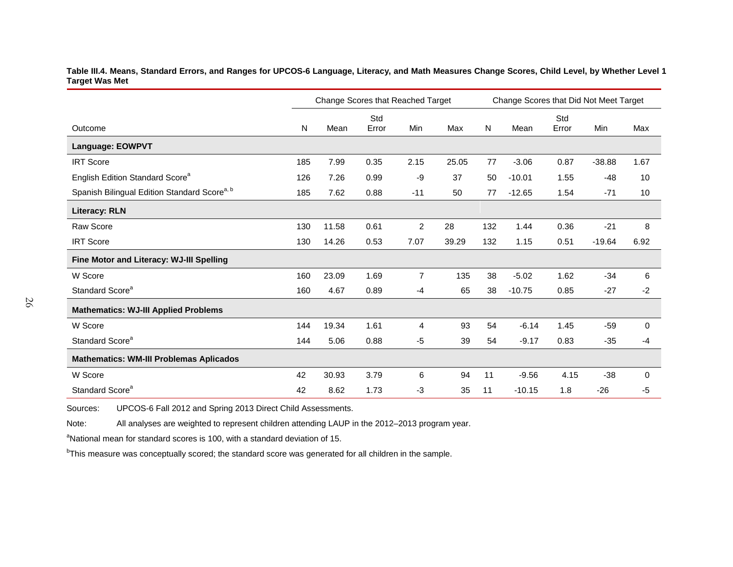**Table III.4. Means, Standard Errors, and Ranges for UPCOS-6 Language, Literacy, and Math Measures Change Scores, Child Level, by Whether Level 1 Target Was Met**

|                                                          | Change Scores that Reached Target |       |       |                |       |     | Change Scores that Did Not Meet Target |       |          |             |  |  |  |
|----------------------------------------------------------|-----------------------------------|-------|-------|----------------|-------|-----|----------------------------------------|-------|----------|-------------|--|--|--|
|                                                          |                                   |       | Std   |                |       |     |                                        | Std   |          |             |  |  |  |
| Outcome                                                  | N                                 | Mean  | Error | Min            | Max   | N   | Mean                                   | Error | Min      | Max         |  |  |  |
| Language: EOWPVT                                         |                                   |       |       |                |       |     |                                        |       |          |             |  |  |  |
| <b>IRT Score</b>                                         | 185                               | 7.99  | 0.35  | 2.15           | 25.05 | 77  | $-3.06$                                | 0.87  | $-38.88$ | 1.67        |  |  |  |
| English Edition Standard Score <sup>a</sup>              | 126                               | 7.26  | 0.99  | -9             | 37    | 50  | $-10.01$                               | 1.55  | $-48$    | 10          |  |  |  |
| Spanish Bilingual Edition Standard Score <sup>a, b</sup> | 185                               | 7.62  | 0.88  | $-11$          | 50    | 77  | $-12.65$                               | 1.54  | $-71$    | 10          |  |  |  |
| <b>Literacy: RLN</b>                                     |                                   |       |       |                |       |     |                                        |       |          |             |  |  |  |
| Raw Score                                                | 130                               | 11.58 | 0.61  | $\overline{c}$ | 28    | 132 | 1.44                                   | 0.36  | $-21$    | 8           |  |  |  |
| <b>IRT Score</b>                                         | 130                               | 14.26 | 0.53  | 7.07           | 39.29 | 132 | 1.15                                   | 0.51  | $-19.64$ | 6.92        |  |  |  |
| Fine Motor and Literacy: WJ-III Spelling                 |                                   |       |       |                |       |     |                                        |       |          |             |  |  |  |
| W Score                                                  | 160                               | 23.09 | 1.69  | 7              | 135   | 38  | $-5.02$                                | 1.62  | $-34$    | 6           |  |  |  |
| Standard Score <sup>a</sup>                              | 160                               | 4.67  | 0.89  | $-4$           | 65    | 38  | $-10.75$                               | 0.85  | $-27$    | $-2$        |  |  |  |
| <b>Mathematics: WJ-III Applied Problems</b>              |                                   |       |       |                |       |     |                                        |       |          |             |  |  |  |
| W Score                                                  | 144                               | 19.34 | 1.61  | 4              | 93    | 54  | $-6.14$                                | 1.45  | $-59$    | $\mathbf 0$ |  |  |  |
| Standard Score <sup>a</sup>                              | 144                               | 5.06  | 0.88  | -5             | 39    | 54  | $-9.17$                                | 0.83  | $-35$    | $-4$        |  |  |  |
| <b>Mathematics: WM-III Problemas Aplicados</b>           |                                   |       |       |                |       |     |                                        |       |          |             |  |  |  |
| W Score                                                  | 42                                | 30.93 | 3.79  | 6              | 94    | 11  | $-9.56$                                | 4.15  | $-38$    | $\mathbf 0$ |  |  |  |
| Standard Score <sup>a</sup>                              | 42                                | 8.62  | 1.73  | $-3$           | 35    | 11  | $-10.15$                               | 1.8   | $-26$    | $-5$        |  |  |  |

Sources: UPCOS-6 Fall 2012 and Spring 2013 Direct Child Assessments.

Note: All analyses are weighted to represent children attending LAUP in the 2012–2013 program year.

<sup>a</sup>National mean for standard scores is 100, with a standard deviation of 15.

<sup>b</sup>This measure was conceptually scored; the standard score was generated for all children in the sample.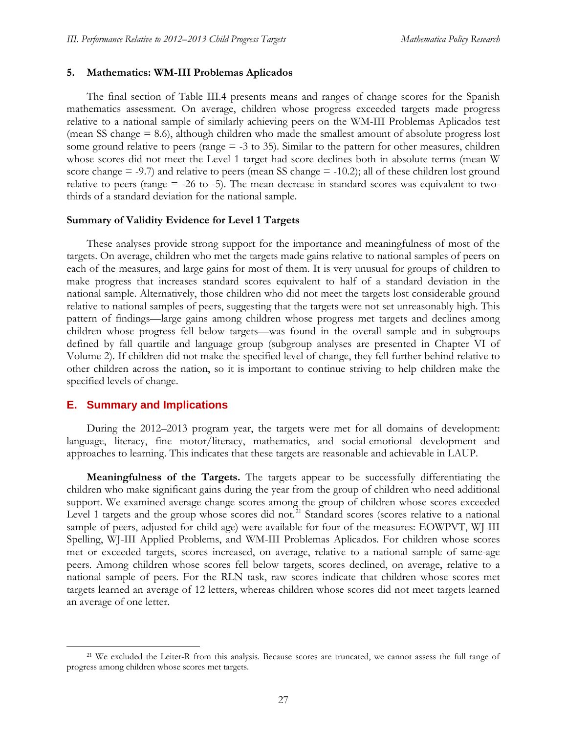#### **5. Mathematics: WM-III Problemas Aplicados**

The final section of Table III.4 presents means and ranges of change scores for the Spanish mathematics assessment. On average, children whose progress exceeded targets made progress relative to a national sample of similarly achieving peers on the WM-III Problemas Aplicados test (mean SS change = 8.6), although children who made the smallest amount of absolute progress lost some ground relative to peers (range = -3 to 35). Similar to the pattern for other measures, children whose scores did not meet the Level 1 target had score declines both in absolute terms (mean W score change  $=$  -9.7) and relative to peers (mean SS change  $=$  -10.2); all of these children lost ground relative to peers (range = -26 to -5). The mean decrease in standard scores was equivalent to twothirds of a standard deviation for the national sample.

### **Summary of Validity Evidence for Level 1 Targets**

These analyses provide strong support for the importance and meaningfulness of most of the targets. On average, children who met the targets made gains relative to national samples of peers on each of the measures, and large gains for most of them. It is very unusual for groups of children to make progress that increases standard scores equivalent to half of a standard deviation in the national sample. Alternatively, those children who did not meet the targets lost considerable ground relative to national samples of peers, suggesting that the targets were not set unreasonably high. This pattern of findings—large gains among children whose progress met targets and declines among children whose progress fell below targets—was found in the overall sample and in subgroups defined by fall quartile and language group (subgroup analyses are presented in Chapter VI of Volume 2). If children did not make the specified level of change, they fell further behind relative to other children across the nation, so it is important to continue striving to help children make the specified levels of change.

### **E. Summary and Implications**

During the 2012–2013 program year, the targets were met for all domains of development: language, literacy, fine motor/literacy, mathematics, and social-emotional development and approaches to learning. This indicates that these targets are reasonable and achievable in LAUP.

**Meaningfulness of the Targets.** The targets appear to be successfully differentiating the children who make significant gains during the year from the group of children who need additional support. We examined average change scores among the group of children whose scores exceeded Level 1 targets and the group whose scores did not.<sup>[21](#page-46-0)</sup> Standard scores (scores relative to a national sample of peers, adjusted for child age) were available for four of the measures: EOWPVT, WJ-III Spelling, WJ-III Applied Problems, and WM-III Problemas Aplicados. For children whose scores met or exceeded targets, scores increased, on average, relative to a national sample of same-age peers. Among children whose scores fell below targets, scores declined, on average, relative to a national sample of peers. For the RLN task, raw scores indicate that children whose scores met targets learned an average of 12 letters, whereas children whose scores did not meet targets learned an average of one letter.

<span id="page-46-0"></span><sup>&</sup>lt;sup>21</sup> We excluded the Leiter-R from this analysis. Because scores are truncated, we cannot assess the full range of progress among children whose scores met targets.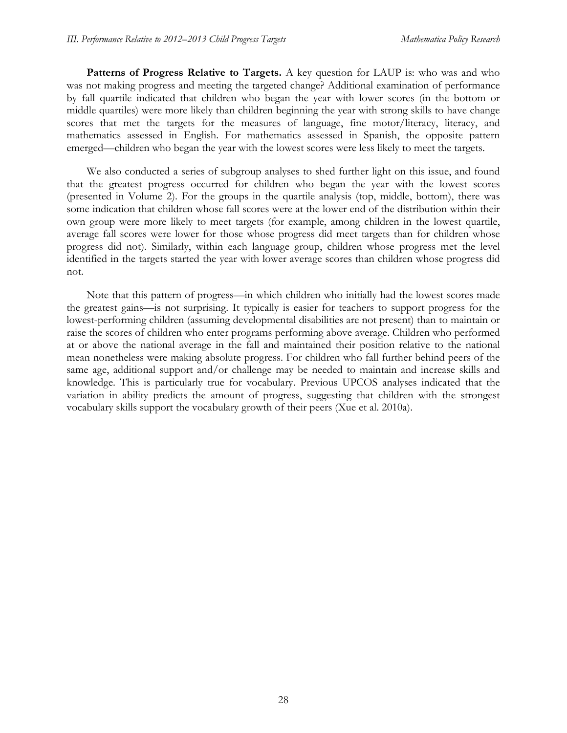**Patterns of Progress Relative to Targets.** A key question for LAUP is: who was and who was not making progress and meeting the targeted change? Additional examination of performance by fall quartile indicated that children who began the year with lower scores (in the bottom or middle quartiles) were more likely than children beginning the year with strong skills to have change scores that met the targets for the measures of language, fine motor/literacy, literacy, and mathematics assessed in English. For mathematics assessed in Spanish, the opposite pattern emerged—children who began the year with the lowest scores were less likely to meet the targets.

We also conducted a series of subgroup analyses to shed further light on this issue, and found that the greatest progress occurred for children who began the year with the lowest scores (presented in Volume 2). For the groups in the quartile analysis (top, middle, bottom), there was some indication that children whose fall scores were at the lower end of the distribution within their own group were more likely to meet targets (for example, among children in the lowest quartile, average fall scores were lower for those whose progress did meet targets than for children whose progress did not). Similarly, within each language group, children whose progress met the level identified in the targets started the year with lower average scores than children whose progress did not.

Note that this pattern of progress—in which children who initially had the lowest scores made the greatest gains—is not surprising. It typically is easier for teachers to support progress for the lowest-performing children (assuming developmental disabilities are not present) than to maintain or raise the scores of children who enter programs performing above average. Children who performed at or above the national average in the fall and maintained their position relative to the national mean nonetheless were making absolute progress. For children who fall further behind peers of the same age, additional support and/or challenge may be needed to maintain and increase skills and knowledge. This is particularly true for vocabulary. Previous UPCOS analyses indicated that the variation in ability predicts the amount of progress, suggesting that children with the strongest vocabulary skills support the vocabulary growth of their peers (Xue et al. 2010a).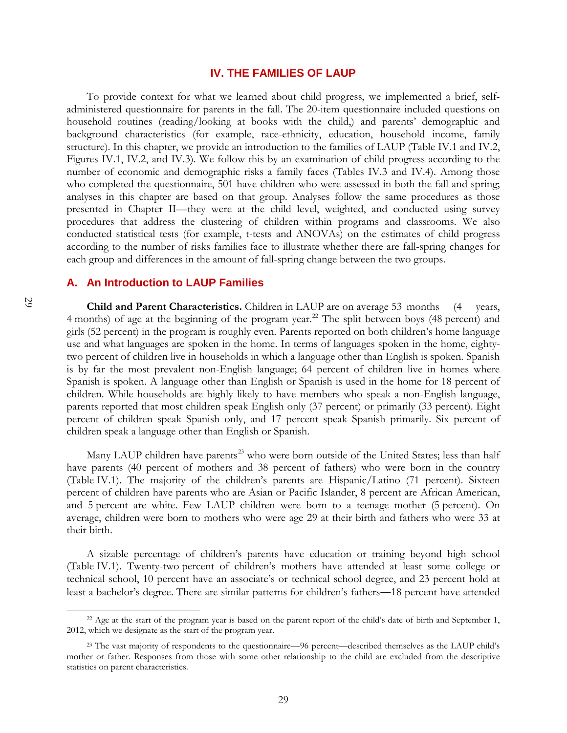### **IV. THE FAMILIES OF LAUP**

To provide context for what we learned about child progress, we implemented a brief, selfadministered questionnaire for parents in the fall. The 20-item questionnaire included questions on household routines (reading/looking at books with the child,) and parents' demographic and background characteristics (for example, race-ethnicity, education, household income, family structure). In this chapter, we provide an introduction to the families of LAUP (Table IV.1 and IV.2, Figures IV.1, IV.2, and IV.3). We follow this by an examination of child progress according to the number of economic and demographic risks a family faces (Tables IV.3 and IV.4). Among those who completed the questionnaire, 501 have children who were assessed in both the fall and spring; analyses in this chapter are based on that group. Analyses follow the same procedures as those presented in Chapter II—they were at the child level, weighted, and conducted using survey procedures that address the clustering of children within programs and classrooms. We also conducted statistical tests (for example, t-tests and ANOVAs) on the estimates of child progress according to the number of risks families face to illustrate whether there are fall-spring changes for each group and differences in the amount of fall-spring change between the two groups.

## **A. An Introduction to LAUP Families**

**Child and Parent Characteristics.** Children in LAUP are on average 53 months (4 years, 4 months) of age at the beginning of the program year.<sup>[22](#page-48-0)</sup> The split between boys (48 percent) and girls (52 percent) in the program is roughly even. Parents reported on both children's home language use and what languages are spoken in the home. In terms of languages spoken in the home, eightytwo percent of children live in households in which a language other than English is spoken. Spanish is by far the most prevalent non-English language; 64 percent of children live in homes where Spanish is spoken. A language other than English or Spanish is used in the home for 18 percent of children. While households are highly likely to have members who speak a non-English language, parents reported that most children speak English only (37 percent) or primarily (33 percent). Eight percent of children speak Spanish only, and 17 percent speak Spanish primarily. Six percent of children speak a language other than English or Spanish.

Many LAUP children have parents<sup>[23](#page-48-1)</sup> who were born outside of the United States; less than half have parents (40 percent of mothers and 38 percent of fathers) who were born in the country (Table IV.1). The majority of the children's parents are Hispanic/Latino (71 percent). Sixteen percent of children have parents who are Asian or Pacific Islander, 8 percent are African American, and 5 percent are white. Few LAUP children were born to a teenage mother (5 percent). On average, children were born to mothers who were age 29 at their birth and fathers who were 33 at their birth.

A sizable percentage of children's parents have education or training beyond high school (Table IV.1). Twenty-two percent of children's mothers have attended at least some college or technical school, 10 percent have an associate's or technical school degree, and 23 percent hold at least a bachelor's degree. There are similar patterns for children's fathers―18 percent have attended

<span id="page-48-0"></span><sup>&</sup>lt;sup>22</sup> Age at the start of the program year is based on the parent report of the child's date of birth and September 1, 2012, which we designate as the start of the program year.

<span id="page-48-1"></span><sup>&</sup>lt;sup>23</sup> The vast majority of respondents to the questionnaire—96 percent—described themselves as the LAUP child's mother or father. Responses from those with some other relationship to the child are excluded from the descriptive statistics on parent characteristics.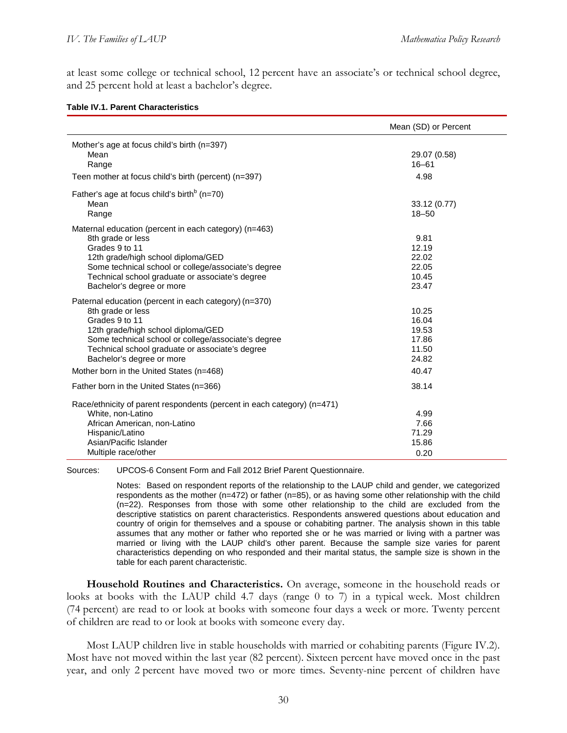at least some college or technical school, 12 percent have an associate's or technical school degree, and 25 percent hold at least a bachelor's degree.

#### **Table IV.1. Parent Characteristics**

|                                                                                                                                                                                                                                                                           | Mean (SD) or Percent                               |
|---------------------------------------------------------------------------------------------------------------------------------------------------------------------------------------------------------------------------------------------------------------------------|----------------------------------------------------|
| Mother's age at focus child's birth (n=397)<br>Mean<br>Range<br>Teen mother at focus child's birth (percent) (n=397)                                                                                                                                                      | 29.07 (0.58)<br>$16 - 61$<br>4.98                  |
| Father's age at focus child's birth <sup>b</sup> (n=70)<br>Mean<br>Range                                                                                                                                                                                                  | 33.12 (0.77)<br>$18 - 50$                          |
| Maternal education (percent in each category) (n=463)<br>8th grade or less<br>Grades 9 to 11<br>12th grade/high school diploma/GED<br>Some technical school or college/associate's degree<br>Technical school graduate or associate's degree<br>Bachelor's degree or more | 9.81<br>12.19<br>22.02<br>22.05<br>10.45<br>23.47  |
| Paternal education (percent in each category) (n=370)<br>8th grade or less<br>Grades 9 to 11<br>12th grade/high school diploma/GED<br>Some technical school or college/associate's degree<br>Technical school graduate or associate's degree<br>Bachelor's degree or more | 10.25<br>16.04<br>19.53<br>17.86<br>11.50<br>24.82 |
| Mother born in the United States (n=468)                                                                                                                                                                                                                                  | 40.47                                              |
| Father born in the United States (n=366)                                                                                                                                                                                                                                  | 38.14                                              |
| Race/ethnicity of parent respondents (percent in each category) (n=471)<br>White, non-Latino<br>African American, non-Latino<br>Hispanic/Latino<br>Asian/Pacific Islander<br>Multiple race/other                                                                          | 4.99<br>7.66<br>71.29<br>15.86<br>0.20             |

Sources: UPCOS-6 Consent Form and Fall 2012 Brief Parent Questionnaire.

Notes: Based on respondent reports of the relationship to the LAUP child and gender, we categorized respondents as the mother (n=472) or father (n=85), or as having some other relationship with the child (n=22). Responses from those with some other relationship to the child are excluded from the descriptive statistics on parent characteristics. Respondents answered questions about education and country of origin for themselves and a spouse or cohabiting partner. The analysis shown in this table assumes that any mother or father who reported she or he was married or living with a partner was married or living with the LAUP child's other parent. Because the sample size varies for parent characteristics depending on who responded and their marital status, the sample size is shown in the table for each parent characteristic.

**Household Routines and Characteristics.** On average, someone in the household reads or looks at books with the LAUP child 4.7 days (range 0 to 7) in a typical week. Most children (74 percent) are read to or look at books with someone four days a week or more. Twenty percent of children are read to or look at books with someone every day.

Most LAUP children live in stable households with married or cohabiting parents (Figure IV.2). Most have not moved within the last year (82 percent). Sixteen percent have moved once in the past year, and only 2 percent have moved two or more times. Seventy-nine percent of children have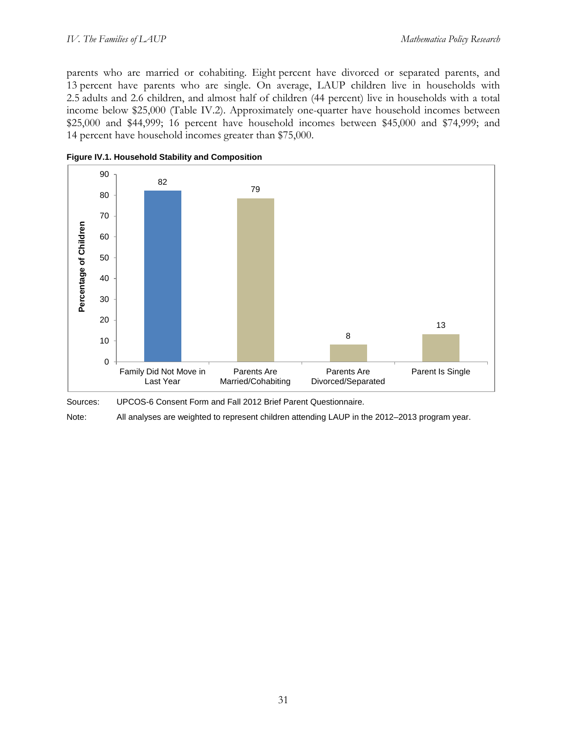parents who are married or cohabiting. Eight percent have divorced or separated parents, and 13 percent have parents who are single. On average, LAUP children live in households with 2.5 adults and 2.6 children, and almost half of children (44 percent) live in households with a total income below \$25,000 (Table IV.2). Approximately one-quarter have household incomes between \$25,000 and \$44,999; 16 percent have household incomes between \$45,000 and \$74,999; and 14 percent have household incomes greater than \$75,000.



**Figure IV.1. Household Stability and Composition**

Sources: UPCOS-6 Consent Form and Fall 2012 Brief Parent Questionnaire.

Note: All analyses are weighted to represent children attending LAUP in the 2012–2013 program year.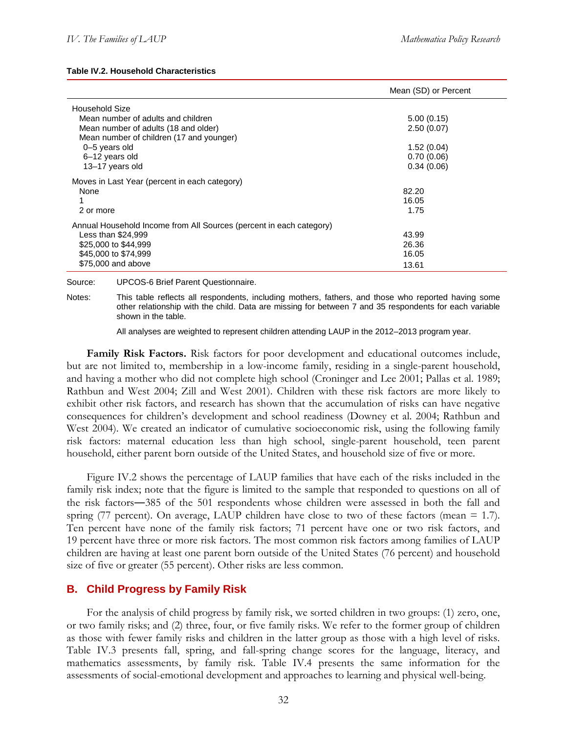#### **Table IV.2. Household Characteristics**

|                                                                     | Mean (SD) or Percent |
|---------------------------------------------------------------------|----------------------|
| Household Size                                                      |                      |
| Mean number of adults and children                                  | 5.00(0.15)           |
| Mean number of adults (18 and older)                                | 2.50(0.07)           |
| Mean number of children (17 and younger)                            |                      |
| 0-5 years old                                                       | 1.52(0.04)           |
| 6-12 years old                                                      | 0.70(0.06)           |
| 13-17 years old                                                     | 0.34(0.06)           |
| Moves in Last Year (percent in each category)                       |                      |
| None                                                                | 82.20                |
|                                                                     | 16.05                |
| 2 or more                                                           | 1.75                 |
| Annual Household Income from All Sources (percent in each category) |                      |
| Less than \$24,999                                                  | 43.99                |
| \$25,000 to \$44,999                                                | 26.36                |
| \$45,000 to \$74,999                                                | 16.05                |
| \$75,000 and above                                                  | 13.61                |

Source: UPCOS-6 Brief Parent Questionnaire.

Notes: This table reflects all respondents, including mothers, fathers, and those who reported having some other relationship with the child. Data are missing for between 7 and 35 respondents for each variable shown in the table.

All analyses are weighted to represent children attending LAUP in the 2012–2013 program year.

**Family Risk Factors.** Risk factors for poor development and educational outcomes include, but are not limited to, membership in a low-income family, residing in a single-parent household, and having a mother who did not complete high school (Croninger and Lee 2001; Pallas et al. 1989; Rathbun and West 2004; Zill and West 2001). Children with these risk factors are more likely to exhibit other risk factors, and research has shown that the accumulation of risks can have negative consequences for children's development and school readiness (Downey et al. 2004; Rathbun and West 2004). We created an indicator of cumulative socioeconomic risk, using the following family risk factors: maternal education less than high school, single-parent household, teen parent household, either parent born outside of the United States, and household size of five or more.

Figure IV.2 shows the percentage of LAUP families that have each of the risks included in the family risk index; note that the figure is limited to the sample that responded to questions on all of the risk factors―385 of the 501 respondents whose children were assessed in both the fall and spring (77 percent). On average, LAUP children have close to two of these factors (mean  $= 1.7$ ). Ten percent have none of the family risk factors; 71 percent have one or two risk factors, and 19 percent have three or more risk factors. The most common risk factors among families of LAUP children are having at least one parent born outside of the United States (76 percent) and household size of five or greater (55 percent). Other risks are less common.

## **B. Child Progress by Family Risk**

For the analysis of child progress by family risk, we sorted children in two groups: (1) zero, one, or two family risks; and (2) three, four, or five family risks. We refer to the former group of children as those with fewer family risks and children in the latter group as those with a high level of risks. Table IV.3 presents fall, spring, and fall-spring change scores for the language, literacy, and mathematics assessments, by family risk. Table IV.4 presents the same information for the assessments of social-emotional development and approaches to learning and physical well-being.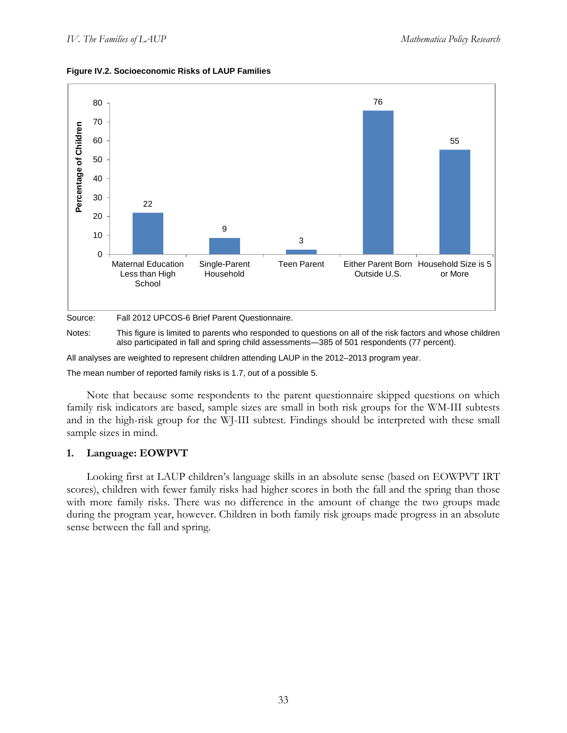



Notes: This figure is limited to parents who responded to questions on all of the risk factors and whose children also participated in fall and spring child assessments―385 of 501 respondents (77 percent).

All analyses are weighted to represent children attending LAUP in the 2012–2013 program year.

The mean number of reported family risks is 1.7, out of a possible 5.

Note that because some respondents to the parent questionnaire skipped questions on which family risk indicators are based, sample sizes are small in both risk groups for the WM-III subtests and in the high-risk group for the WJ-III subtest. Findings should be interpreted with these small sample sizes in mind.

### **1. Language: EOWPVT**

Looking first at LAUP children's language skills in an absolute sense (based on EOWPVT IRT scores), children with fewer family risks had higher scores in both the fall and the spring than those with more family risks. There was no difference in the amount of change the two groups made during the program year, however. Children in both family risk groups made progress in an absolute sense between the fall and spring.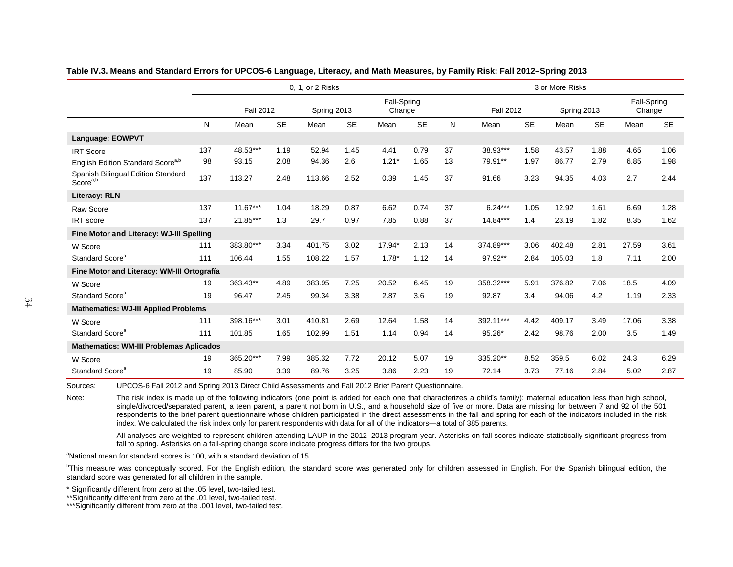|                                                            | 0, 1, or 2 Risks |                                 |           |                       |           |         |                  |    |             | 3 or More Risks |                       |           |       |           |  |  |
|------------------------------------------------------------|------------------|---------------------------------|-----------|-----------------------|-----------|---------|------------------|----|-------------|-----------------|-----------------------|-----------|-------|-----------|--|--|
|                                                            |                  | <b>Fall 2012</b><br>Spring 2013 |           | Fall-Spring<br>Change |           |         | <b>Fall 2012</b> |    | Spring 2013 |                 | Fall-Spring<br>Change |           |       |           |  |  |
|                                                            | N                | Mean                            | <b>SE</b> | Mean                  | <b>SE</b> | Mean    | <b>SE</b>        | N  | Mean        | <b>SE</b>       | Mean                  | <b>SE</b> | Mean  | <b>SE</b> |  |  |
| Language: EOWPVT                                           |                  |                                 |           |                       |           |         |                  |    |             |                 |                       |           |       |           |  |  |
| <b>IRT Score</b>                                           | 137              | 48.53***                        | 1.19      | 52.94                 | 1.45      | 4.41    | 0.79             | 37 | 38.93***    | 1.58            | 43.57                 | 1.88      | 4.65  | 1.06      |  |  |
| English Edition Standard Score <sup>a,b</sup>              | 98               | 93.15                           | 2.08      | 94.36                 | 2.6       | $1.21*$ | 1.65             | 13 | 79.91**     | 1.97            | 86.77                 | 2.79      | 6.85  | 1.98      |  |  |
| Spanish Bilingual Edition Standard<br>Score <sup>a,b</sup> | 137              | 113.27                          | 2.48      | 113.66                | 2.52      | 0.39    | 1.45             | 37 | 91.66       | 3.23            | 94.35                 | 4.03      | 2.7   | 2.44      |  |  |
| <b>Literacy: RLN</b>                                       |                  |                                 |           |                       |           |         |                  |    |             |                 |                       |           |       |           |  |  |
| <b>Raw Score</b>                                           | 137              | $11.67***$                      | 1.04      | 18.29                 | 0.87      | 6.62    | 0.74             | 37 | $6.24***$   | 1.05            | 12.92                 | 1.61      | 6.69  | 1.28      |  |  |
| IRT score                                                  | 137              | 21.85***                        | 1.3       | 29.7                  | 0.97      | 7.85    | 0.88             | 37 | 14.84***    | 1.4             | 23.19                 | 1.82      | 8.35  | 1.62      |  |  |
| Fine Motor and Literacy: WJ-III Spelling                   |                  |                                 |           |                       |           |         |                  |    |             |                 |                       |           |       |           |  |  |
| W Score                                                    | 111              | 383.80***                       | 3.34      | 401.75                | 3.02      | 17.94*  | 2.13             | 14 | 374.89***   | 3.06            | 402.48                | 2.81      | 27.59 | 3.61      |  |  |
| Standard Score <sup>a</sup>                                | 111              | 106.44                          | 1.55      | 108.22                | 1.57      | $1.78*$ | 1.12             | 14 | 97.92**     | 2.84            | 105.03                | 1.8       | 7.11  | 2.00      |  |  |
| Fine Motor and Literacy: WM-III Ortografía                 |                  |                                 |           |                       |           |         |                  |    |             |                 |                       |           |       |           |  |  |
| W Score                                                    | 19               | 363.43**                        | 4.89      | 383.95                | 7.25      | 20.52   | 6.45             | 19 | 358.32***   | 5.91            | 376.82                | 7.06      | 18.5  | 4.09      |  |  |
| Standard Score <sup>a</sup>                                | 19               | 96.47                           | 2.45      | 99.34                 | 3.38      | 2.87    | 3.6              | 19 | 92.87       | 3.4             | 94.06                 | 4.2       | 1.19  | 2.33      |  |  |
| <b>Mathematics: WJ-III Applied Problems</b>                |                  |                                 |           |                       |           |         |                  |    |             |                 |                       |           |       |           |  |  |
| W Score                                                    | 111              | 398.16***                       | 3.01      | 410.81                | 2.69      | 12.64   | 1.58             | 14 | 392.11***   | 4.42            | 409.17                | 3.49      | 17.06 | 3.38      |  |  |
| Standard Score <sup>a</sup>                                | 111              | 101.85                          | 1.65      | 102.99                | 1.51      | 1.14    | 0.94             | 14 | 95.26*      | 2.42            | 98.76                 | 2.00      | 3.5   | 1.49      |  |  |
| <b>Mathematics: WM-III Problemas Aplicados</b>             |                  |                                 |           |                       |           |         |                  |    |             |                 |                       |           |       |           |  |  |
| W Score                                                    | 19               | 365.20***                       | 7.99      | 385.32                | 7.72      | 20.12   | 5.07             | 19 | 335.20**    | 8.52            | 359.5                 | 6.02      | 24.3  | 6.29      |  |  |
| Standard Score <sup>a</sup>                                | 19               | 85.90                           | 3.39      | 89.76                 | 3.25      | 3.86    | 2.23             | 19 | 72.14       | 3.73            | 77.16                 | 2.84      | 5.02  | 2.87      |  |  |

#### **Table IV.3. Means and Standard Errors for UPCOS-6 Language, Literacy, and Math Measures, by Family Risk: Fall 2012–Spring 2013**

Sources: UPCOS-6 Fall 2012 and Spring 2013 Direct Child Assessments and Fall 2012 Brief Parent Questionnaire.

Note: The risk index is made up of the following indicators (one point is added for each one that characterizes a child's family): maternal education less than high school, single/divorced/separated parent, a teen parent, a parent not born in U.S., and a household size of five or more. Data are missing for between 7 and 92 of the 501 respondents to the brief parent questionnaire whose children participated in the direct assessments in the fall and spring for each of the indicators included in the risk index. We calculated the risk index only for parent respondents with data for all of the indicators―a total of 385 parents.

All analyses are weighted to represent children attending LAUP in the 2012–2013 program year. Asterisks on fall scores indicate statistically significant progress from fall to spring. Asterisks on a fall-spring change score indicate progress differs for the two groups.

<sup>a</sup>National mean for standard scores is 100, with a standard deviation of 15.

<sup>b</sup>This measure was conceptually scored. For the English edition, the standard score was generated only for children assessed in English. For the Spanish bilingual edition, the standard score was generated for all children in the sample.

\* Significantly different from zero at the .05 level, two-tailed test.

\*\*Significantly different from zero at the .01 level, two-tailed test.

\*\*\*Significantly different from zero at the .001 level, two-tailed test.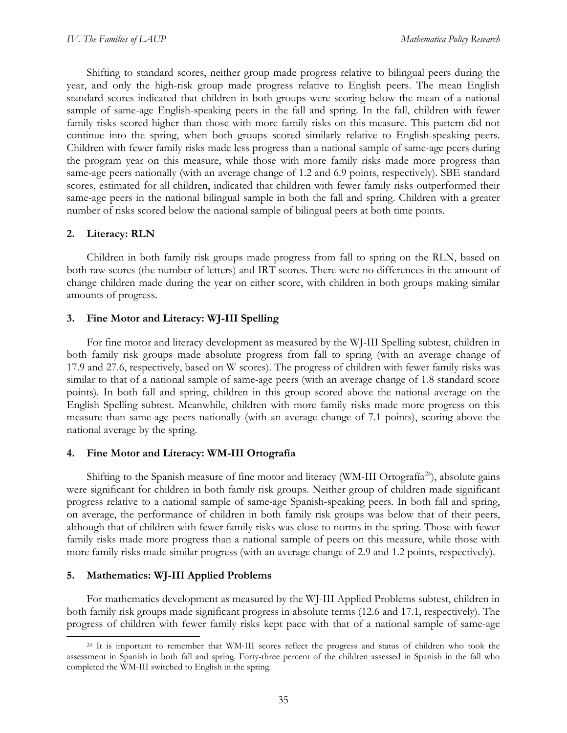Shifting to standard scores, neither group made progress relative to bilingual peers during the year, and only the high-risk group made progress relative to English peers. The mean English standard scores indicated that children in both groups were scoring below the mean of a national sample of same-age English-speaking peers in the fall and spring. In the fall, children with fewer family risks scored higher than those with more family risks on this measure. This pattern did not continue into the spring, when both groups scored similarly relative to English-speaking peers. Children with fewer family risks made less progress than a national sample of same-age peers during the program year on this measure, while those with more family risks made more progress than same-age peers nationally (with an average change of 1.2 and 6.9 points, respectively). SBE standard scores, estimated for all children, indicated that children with fewer family risks outperformed their same-age peers in the national bilingual sample in both the fall and spring. Children with a greater number of risks scored below the national sample of bilingual peers at both time points.

### **2. Literacy: RLN**

Children in both family risk groups made progress from fall to spring on the RLN, based on both raw scores (the number of letters) and IRT scores. There were no differences in the amount of change children made during the year on either score, with children in both groups making similar amounts of progress.

### **3. Fine Motor and Literacy: WJ-III Spelling**

For fine motor and literacy development as measured by the WJ-III Spelling subtest, children in both family risk groups made absolute progress from fall to spring (with an average change of 17.9 and 27.6, respectively, based on W scores). The progress of children with fewer family risks was similar to that of a national sample of same-age peers (with an average change of 1.8 standard score points). In both fall and spring, children in this group scored above the national average on the English Spelling subtest. Meanwhile, children with more family risks made more progress on this measure than same-age peers nationally (with an average change of 7.1 points), scoring above the national average by the spring.

### **4. Fine Motor and Literacy: WM-III Ortografía**

Shifting to the Spanish measure of fine motor and literacy (WM-III Ortografía<sup>24</sup>), absolute gains were significant for children in both family risk groups. Neither group of children made significant progress relative to a national sample of same-age Spanish-speaking peers. In both fall and spring, on average, the performance of children in both family risk groups was below that of their peers, although that of children with fewer family risks was close to norms in the spring. Those with fewer family risks made more progress than a national sample of peers on this measure, while those with more family risks made similar progress (with an average change of 2.9 and 1.2 points, respectively).

### **5. Mathematics: WJ-III Applied Problems**

For mathematics development as measured by the WJ-III Applied Problems subtest, children in both family risk groups made significant progress in absolute terms (12.6 and 17.1, respectively). The progress of children with fewer family risks kept pace with that of a national sample of same-age

<span id="page-54-0"></span><sup>&</sup>lt;sup>24</sup> It is important to remember that WM-III scores reflect the progress and status of children who took the assessment in Spanish in both fall and spring. Forty-three percent of the children assessed in Spanish in the fall who completed the WM-III switched to English in the spring.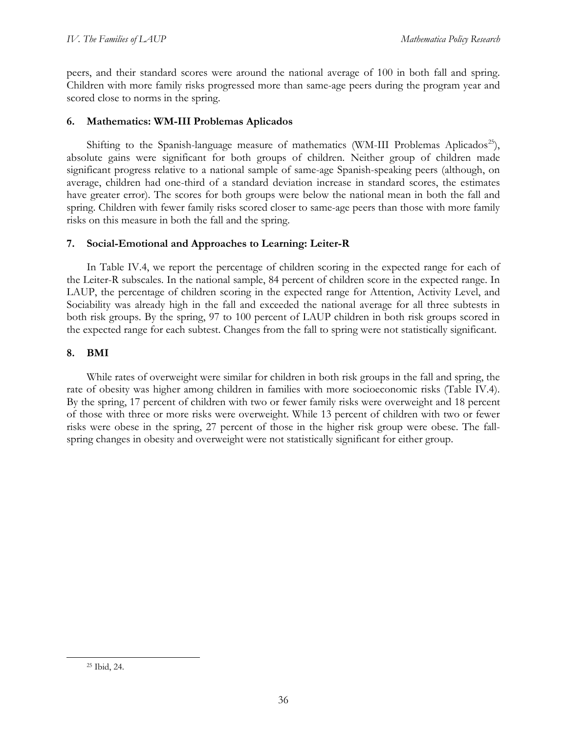peers, and their standard scores were around the national average of 100 in both fall and spring. Children with more family risks progressed more than same-age peers during the program year and scored close to norms in the spring.

## **6. Mathematics: WM-III Problemas Aplicados**

Shifting to the Spanish-language measure of mathematics (WM-III Problemas Aplicados<sup>25</sup>), absolute gains were significant for both groups of children. Neither group of children made significant progress relative to a national sample of same-age Spanish-speaking peers (although, on average, children had one-third of a standard deviation increase in standard scores, the estimates have greater error). The scores for both groups were below the national mean in both the fall and spring. Children with fewer family risks scored closer to same-age peers than those with more family risks on this measure in both the fall and the spring.

## **7. Social-Emotional and Approaches to Learning: Leiter-R**

In Table IV.4, we report the percentage of children scoring in the expected range for each of the Leiter-R subscales. In the national sample, 84 percent of children score in the expected range. In LAUP, the percentage of children scoring in the expected range for Attention, Activity Level, and Sociability was already high in the fall and exceeded the national average for all three subtests in both risk groups. By the spring, 97 to 100 percent of LAUP children in both risk groups scored in the expected range for each subtest. Changes from the fall to spring were not statistically significant.

## **8. BMI**

While rates of overweight were similar for children in both risk groups in the fall and spring, the rate of obesity was higher among children in families with more socioeconomic risks (Table IV.4). By the spring, 17 percent of children with two or fewer family risks were overweight and 18 percent of those with three or more risks were overweight. While 13 percent of children with two or fewer risks were obese in the spring, 27 percent of those in the higher risk group were obese. The fallspring changes in obesity and overweight were not statistically significant for either group.

<span id="page-55-0"></span> <sup>25</sup> Ibid, 24.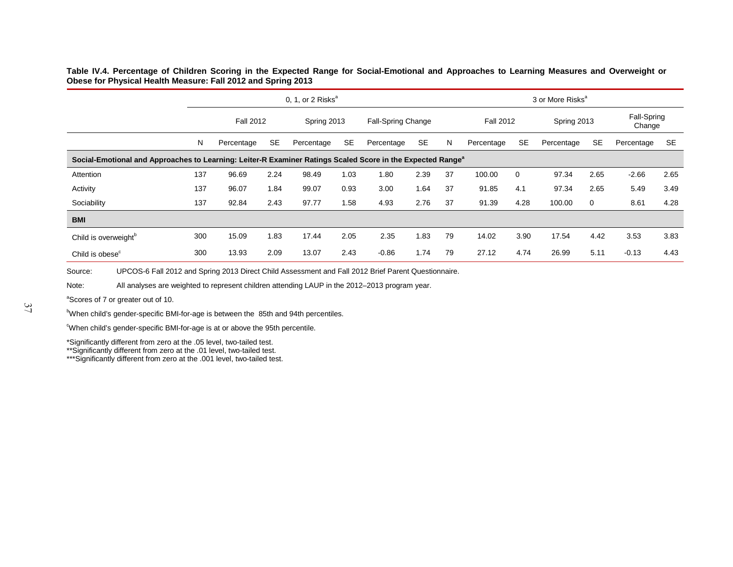**Table IV.4. Percentage of Children Scoring in the Expected Range for Social-Emotional and Approaches to Learning Measures and Overweight or Obese for Physical Health Measure: Fall 2012 and Spring 2013**

|                                                                                                                        | 0, 1, or 2 Risks $a$ |                  |           |            |                                   |            |           |                  | 3 or More Risks <sup>a</sup> |           |             |           |                       |           |  |
|------------------------------------------------------------------------------------------------------------------------|----------------------|------------------|-----------|------------|-----------------------------------|------------|-----------|------------------|------------------------------|-----------|-------------|-----------|-----------------------|-----------|--|
|                                                                                                                        |                      | <b>Fall 2012</b> |           |            | Fall-Spring Change<br>Spring 2013 |            |           | <b>Fall 2012</b> |                              |           | Spring 2013 |           | Fall-Spring<br>Change |           |  |
|                                                                                                                        | N                    | Percentage       | <b>SE</b> | Percentage | <b>SE</b>                         | Percentage | <b>SE</b> | N                | Percentage                   | <b>SE</b> | Percentage  | <b>SE</b> | Percentage            | <b>SE</b> |  |
| Social-Emotional and Approaches to Learning: Leiter-R Examiner Ratings Scaled Score in the Expected Range <sup>a</sup> |                      |                  |           |            |                                   |            |           |                  |                              |           |             |           |                       |           |  |
| Attention                                                                                                              | 137                  | 96.69            | 2.24      | 98.49      | 1.03                              | 1.80       | 2.39      | 37               | 100.00                       | 0         | 97.34       | 2.65      | $-2.66$               | 2.65      |  |
| Activity                                                                                                               | 137                  | 96.07            | 1.84      | 99.07      | 0.93                              | 3.00       | 1.64      | 37               | 91.85                        | 4.1       | 97.34       | 2.65      | 5.49                  | 3.49      |  |
| Sociability                                                                                                            | 137                  | 92.84            | 2.43      | 97.77      | 1.58                              | 4.93       | 2.76      | 37               | 91.39                        | 4.28      | 100.00      | 0         | 8.61                  | 4.28      |  |
| <b>BMI</b>                                                                                                             |                      |                  |           |            |                                   |            |           |                  |                              |           |             |           |                       |           |  |
| Child is overweight <sup>b</sup>                                                                                       | 300                  | 15.09            | 1.83      | 17.44      | 2.05                              | 2.35       | 1.83      | 79               | 14.02                        | 3.90      | 17.54       | 4.42      | 3.53                  | 3.83      |  |
| Child is obese <sup>c</sup>                                                                                            | 300                  | 13.93            | 2.09      | 13.07      | 2.43                              | $-0.86$    | 1.74      | 79               | 27.12                        | 4.74      | 26.99       | 5.11      | $-0.13$               | 4.43      |  |

Source: UPCOS-6 Fall 2012 and Spring 2013 Direct Child Assessment and Fall 2012 Brief Parent Questionnaire.

Note: All analyses are weighted to represent children attending LAUP in the 2012–2013 program year.

<sup>a</sup>Scores of 7 or greater out of 10.

<sup>b</sup>When child's gender-specific BMI-for-age is between the 85th and 94th percentiles.

<sup>o</sup>When child's gender-specific BMI-for-age is at or above the 95th percentile.

\*Significantly different from zero at the .05 level, two-tailed test.

\*\*Significantly different from zero at the .01 level, two-tailed test.

\*\*\*Significantly different from zero at the .001 level, two-tailed test.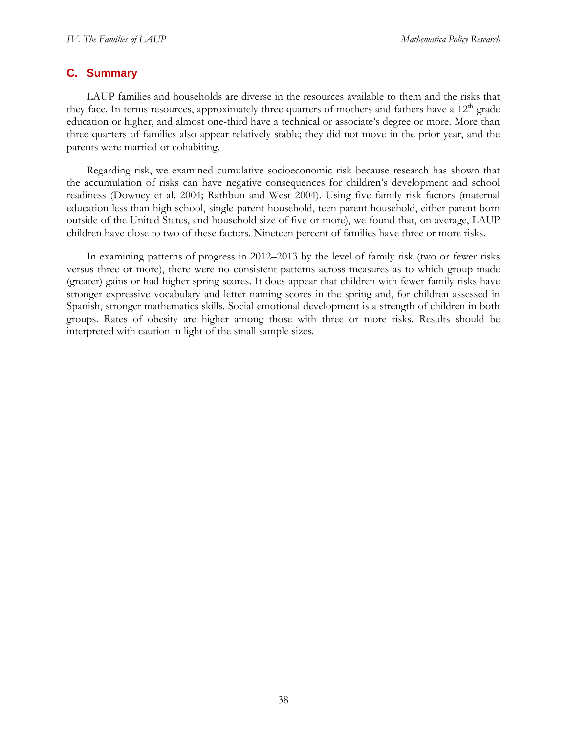# **C. Summary**

LAUP families and households are diverse in the resources available to them and the risks that they face. In terms resources, approximately three-quarters of mothers and fathers have a  $12<sup>th</sup>$ -grade education or higher, and almost one-third have a technical or associate's degree or more. More than three-quarters of families also appear relatively stable; they did not move in the prior year, and the parents were married or cohabiting.

Regarding risk, we examined cumulative socioeconomic risk because research has shown that the accumulation of risks can have negative consequences for children's development and school readiness (Downey et al. 2004; Rathbun and West 2004). Using five family risk factors (maternal education less than high school, single-parent household, teen parent household, either parent born outside of the United States, and household size of five or more), we found that, on average, LAUP children have close to two of these factors. Nineteen percent of families have three or more risks.

In examining patterns of progress in 2012–2013 by the level of family risk (two or fewer risks versus three or more), there were no consistent patterns across measures as to which group made (greater) gains or had higher spring scores. It does appear that children with fewer family risks have stronger expressive vocabulary and letter naming scores in the spring and, for children assessed in Spanish, stronger mathematics skills. Social-emotional development is a strength of children in both groups. Rates of obesity are higher among those with three or more risks. Results should be interpreted with caution in light of the small sample sizes.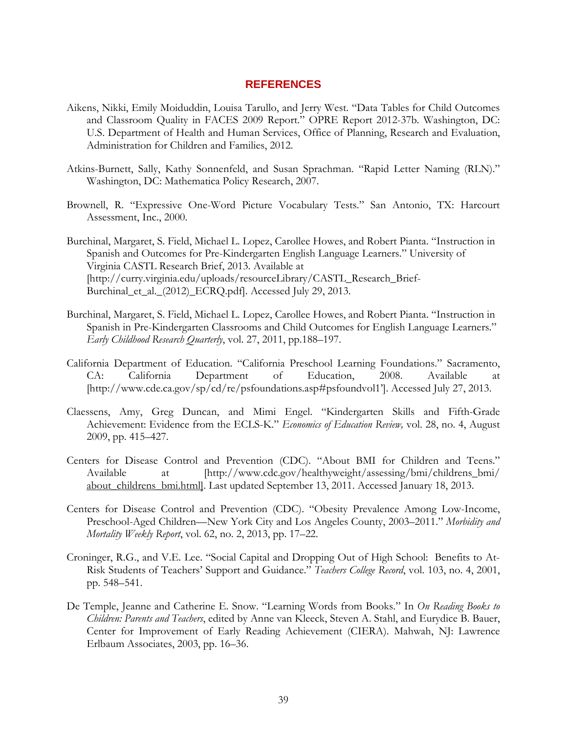## **REFERENCES**

- Aikens, Nikki, Emily Moiduddin, Louisa Tarullo, and Jerry West. "Data Tables for Child Outcomes and Classroom Quality in FACES 2009 Report." OPRE Report 2012-37b. Washington, DC: U.S. Department of Health and Human Services, Office of Planning, Research and Evaluation, Administration for Children and Families, 2012.
- Atkins-Burnett, Sally, Kathy Sonnenfeld, and Susan Sprachman. "Rapid Letter Naming (RLN)." Washington, DC: Mathematica Policy Research, 2007.
- Brownell, R. "Expressive One-Word Picture Vocabulary Tests." San Antonio, TX: Harcourt Assessment, Inc., 2000.
- Burchinal, Margaret, S. Field, Michael L. Lopez, Carollee Howes, and Robert Pianta. "Instruction in Spanish and Outcomes for Pre-Kindergarten English Language Learners." University of Virginia CASTL Research Brief, 2013. Available at [http://curry.virginia.edu/uploads/resourceLibrary/CASTL\_Research\_Brief-Burchinal\_et\_al.\_(2012)\_ECRQ.pdf]. Accessed July 29, 2013.
- Burchinal, Margaret, S. Field, Michael L. Lopez, Carollee Howes, and Robert Pianta. "Instruction in Spanish in Pre-Kindergarten Classrooms and Child Outcomes for English Language Learners." *Early Childhood Research Quarterly*, vol. 27, 2011, pp.188–197.
- California Department of Education. "California Preschool Learning Foundations." Sacramento, CA: California Department of Education, 2008. Available at [\[http://www.cde.ca.gov/sp/cd/re/psfoundations.asp#psfoundvol1'](http://www.cde.ca.gov/sp/cd/re/psfoundations.asp#psfoundvol1)]. Accessed July 27, 2013.
- Claessens, Amy, Greg Duncan, and Mimi Engel. "Kindergarten Skills and Fifth-Grade Achievement: Evidence from the ECLS-K." *Economics of Education Review,* vol. 28, no. 4, August 2009, pp. 415–427.
- Centers for Disease Control and Prevention (CDC). "About BMI for Children and Teens." Available at [http://www.cdc.gov/healthyweight/assessing/bmi/childrens\_bmi/ about\_childrens\_bmi.html]. Last updated September 13, 2011. Accessed January 18, 2013.
- Centers for Disease Control and Prevention (CDC). "Obesity Prevalence Among Low-Income, Preschool-Aged Children—New York City and Los Angeles County, 2003–2011." *Morbidity and Mortality Weekly Report*, vol. 62, no. 2, 2013, pp. 17–22.
- Croninger, R.G., and V.E. Lee. "Social Capital and Dropping Out of High School: Benefits to At-Risk Students of Teachers' Support and Guidance." *Teachers College Record*, vol. 103, no. 4, 2001, pp. 548–541.
- De Temple, Jeanne and Catherine E. Snow. "Learning Words from Books." In *On Reading Books to Children: Parents and Teachers*, edited by Anne van Kleeck, Steven A. Stahl, and Eurydice B. Bauer, Center for Improvement of Early Reading Achievement (CIERA). Mahwah, NJ: Lawrence Erlbaum Associates, 2003, pp. 16–36.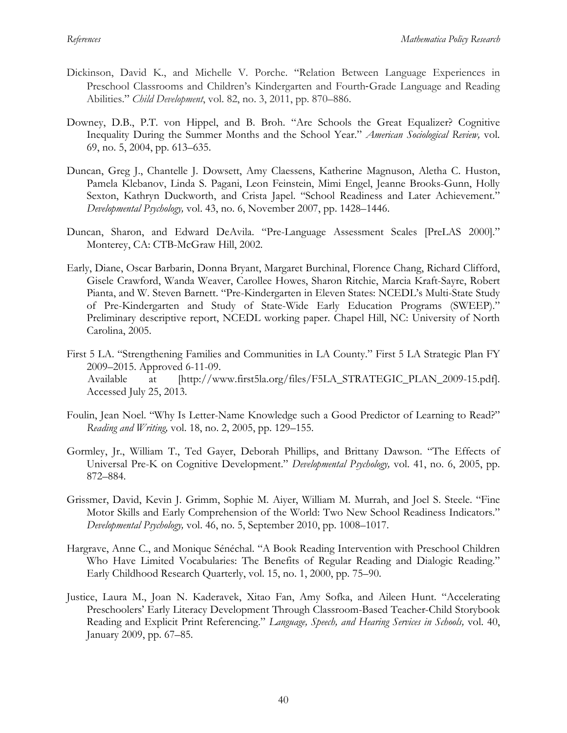- Dickinson, David K., and Michelle V. Porche. "Relation Between Language Experiences in Preschool Classrooms and Children's Kindergarten and Fourth‐Grade Language and Reading Abilities." *Child Development*, vol. 82, no. 3, 2011, pp. 870–886.
- Downey, D.B., P.T. von Hippel, and B. Broh. "Are Schools the Great Equalizer? Cognitive Inequality During the Summer Months and the School Year." *American Sociological Review,* vol. 69, no. 5, 2004, pp. 613–635.
- Duncan, Greg J., Chantelle J. Dowsett, Amy Claessens, Katherine Magnuson, Aletha C. Huston, Pamela Klebanov, Linda S. Pagani, Leon Feinstein, Mimi Engel, Jeanne Brooks-Gunn, Holly Sexton, Kathryn Duckworth, and Crista Japel. "School Readiness and Later Achievement." *Developmental Psychology,* vol. 43, no. 6, November 2007, pp. 1428–1446.
- Duncan, Sharon, and Edward DeAvila. "Pre-Language Assessment Scales [PreLAS 2000]." Monterey, CA: CTB-McGraw Hill, 2002.
- Early, Diane, Oscar Barbarin, Donna Bryant, Margaret Burchinal, Florence Chang, Richard Clifford, Gisele Crawford, Wanda Weaver, Carollee Howes, Sharon Ritchie, Marcia Kraft-Sayre, Robert Pianta, and W. Steven Barnett. "Pre-Kindergarten in Eleven States: NCEDL's Multi-State Study of Pre-Kindergarten and Study of State-Wide Early Education Programs (SWEEP)." Preliminary descriptive report, NCEDL working paper. Chapel Hill, NC: University of North Carolina, 2005.
- First 5 LA. "Strengthening Families and Communities in LA County." First 5 LA Strategic Plan FY 2009–2015. Approved 6-11-09. Available at [http://www.first5la.org/files/F5LA\_STRATEGIC\_PLAN\_2009-15.pdf]. Accessed July 25, 2013.
- Foulin, Jean Noel. "Why Is Letter-Name Knowledge such a Good Predictor of Learning to Read?" *Reading and Writing,* vol. 18, no. 2, 2005, pp. 129–155.
- Gormley, Jr., William T., Ted Gayer, Deborah Phillips, and Brittany Dawson. "The Effects of Universal Pre-K on Cognitive Development." *Developmental Psychology,* vol. 41, no. 6, 2005, pp. 872–884.
- Grissmer, David, Kevin J. Grimm, Sophie M. Aiyer, William M. Murrah, and Joel S. Steele. "Fine Motor Skills and Early Comprehension of the World: Two New School Readiness Indicators." *Developmental Psychology,* vol. 46, no. 5, September 2010, pp. 1008–1017.
- Hargrave, Anne C., and Monique Sénéchal. "A Book Reading Intervention with Preschool Children Who Have Limited Vocabularies: The Benefits of Regular Reading and Dialogic Reading." Early Childhood Research Quarterly, vol. 15, no. 1, 2000, pp. 75–90.
- Justice, Laura M., Joan N. Kaderavek, Xitao Fan, Amy Sofka, and Aileen Hunt. "Accelerating Preschoolers' Early Literacy Development Through Classroom-Based Teacher-Child Storybook Reading and Explicit Print Referencing." *Language, Speech, and Hearing Services in Schools,* vol. 40, January 2009, pp. 67–85.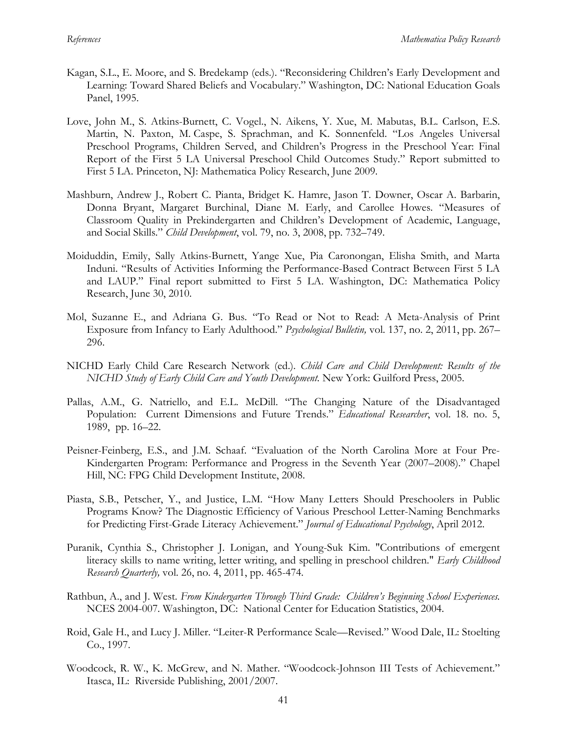- Kagan, S.L., E. Moore, and S. Bredekamp (eds.). "Reconsidering Children's Early Development and Learning: Toward Shared Beliefs and Vocabulary." Washington, DC: National Education Goals Panel, 1995.
- Love, John M., S. Atkins-Burnett, C. Vogel., N. Aikens, Y. Xue, M. Mabutas, B.L. Carlson, E.S. Martin, N. Paxton, M. Caspe, S. Sprachman, and K. Sonnenfeld. "Los Angeles Universal Preschool Programs, Children Served, and Children's Progress in the Preschool Year: Final Report of the First 5 LA Universal Preschool Child Outcomes Study." Report submitted to First 5 LA. Princeton, NJ: Mathematica Policy Research, June 2009.
- Mashburn, Andrew J., Robert C. Pianta, Bridget K. Hamre, Jason T. Downer, Oscar A. Barbarin, Donna Bryant, Margaret Burchinal, Diane M. Early, and Carollee Howes. "Measures of Classroom Quality in Prekindergarten and Children's Development of Academic, Language, and Social Skills." *Child Development*, vol. 79, no. 3, 2008, pp. 732–749.
- Moiduddin, Emily, Sally Atkins-Burnett, Yange Xue, Pia Caronongan, Elisha Smith, and Marta Induni. "Results of Activities Informing the Performance-Based Contract Between First 5 LA and LAUP." Final report submitted to First 5 LA. Washington, DC: Mathematica Policy Research, June 30, 2010.
- Mol, Suzanne E., and Adriana G. Bus. "To Read or Not to Read: A Meta-Analysis of Print Exposure from Infancy to Early Adulthood." *Psychological Bulletin,* vol. 137, no. 2, 2011, pp. 267– 296.
- NICHD Early Child Care Research Network (ed.). *Child Care and Child Development: Results of the NICHD Study of Early Child Care and Youth Development.* New York: Guilford Press, 2005.
- Pallas, A.M., G. Natriello, and E.L. McDill. "The Changing Nature of the Disadvantaged Population: Current Dimensions and Future Trends." *Educational Researcher*, vol. 18. no. 5, 1989, pp. 16–22.
- Peisner-Feinberg, E.S., and J.M. Schaaf. "Evaluation of the North Carolina More at Four Pre-Kindergarten Program: Performance and Progress in the Seventh Year (2007–2008)." Chapel Hill, NC: FPG Child Development Institute, 2008.
- Piasta, S.B., Petscher, Y., and Justice, L.M. "How Many Letters Should Preschoolers in Public Programs Know? The Diagnostic Efficiency of Various Preschool Letter-Naming Benchmarks for Predicting First-Grade Literacy Achievement." *Journal of Educational Psychology*, April 2012.
- Puranik, Cynthia S., Christopher J. Lonigan, and Young-Suk Kim. "Contributions of emergent literacy skills to name writing, letter writing, and spelling in preschool children." *Early Childhood Research Quarterly,* vol. 26, no. 4, 2011, pp. 465-474.
- Rathbun, A., and J. West. *From Kindergarten Through Third Grade: Children's Beginning School Experiences.* NCES 2004-007. Washington, DC: National Center for Education Statistics, 2004.
- Roid, Gale H., and Lucy J. Miller. "Leiter-R Performance Scale—Revised." Wood Dale, IL: Stoelting Co., 1997.
- Woodcock, R. W., K. McGrew, and N. Mather. "Woodcock-Johnson III Tests of Achievement." Itasca, IL: Riverside Publishing, 2001/2007.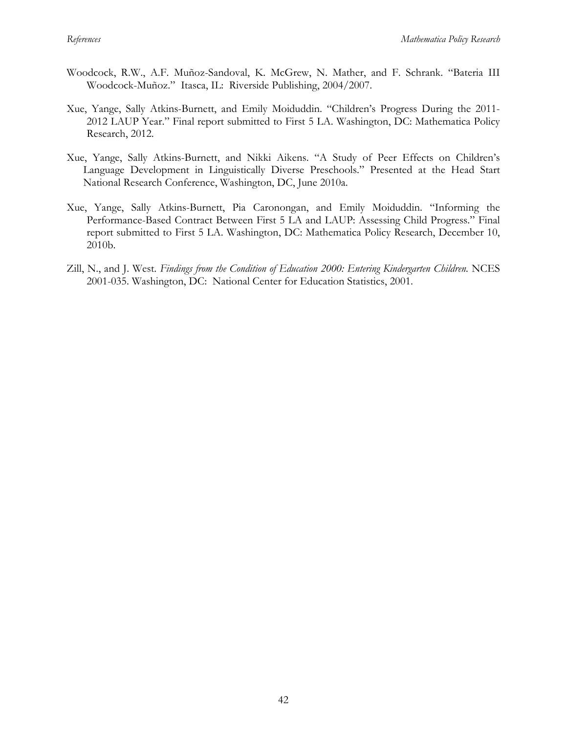- Woodcock, R.W., A.F. Muñoz-Sandoval, K. McGrew, N. Mather, and F. Schrank. "Bateria III Woodcock-Muñoz." Itasca, IL: Riverside Publishing, 2004/2007.
- Xue, Yange, Sally Atkins-Burnett, and Emily Moiduddin. "Children's Progress During the 2011- 2012 LAUP Year." Final report submitted to First 5 LA. Washington, DC: Mathematica Policy Research, 2012.
- Xue, Yange, Sally Atkins-Burnett, and Nikki Aikens. "A Study of Peer Effects on Children's Language Development in Linguistically Diverse Preschools." Presented at the Head Start National Research Conference, Washington, DC, June 2010a.
- Xue, Yange, Sally Atkins-Burnett, Pia Caronongan, and Emily Moiduddin. "Informing the Performance-Based Contract Between First 5 LA and LAUP: Assessing Child Progress." Final report submitted to First 5 LA. Washington, DC: Mathematica Policy Research, December 10, 2010b.
- Zill, N., and J. West. *Findings from the Condition of Education 2000: Entering Kindergarten Children.* NCES 2001-035. Washington, DC: National Center for Education Statistics, 2001.